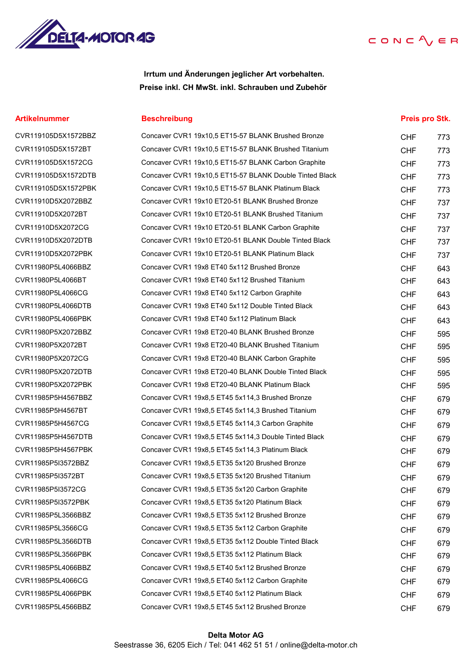

Irrtum und Änderungen jeglicher Art vorbehalten. Preise inkl. CH MwSt. inkl. Schrauben und Zubehör

#### Artikelnummer **Beschreibung** Beschreibung Beschreibung Beschreibung aus eines Preis pro Stk.

| CVR119105D5X1572BBZ |
|---------------------|
| CVR119105D5X1572BT  |
| CVR119105D5X1572CG  |
| CVR119105D5X1572DTB |
| CVR119105D5X1572PBK |
| CVR11910D5X2072BBZ  |
| CVR11910D5X2072BT   |
| CVR11910D5X2072CG   |
| CVR11910D5X2072DTB  |
| CVR11910D5X2072PBK  |
| CVR11980P5L4066BBZ  |
| CVR11980P5L4066BT   |
| CVR11980P5L4066CG   |
| CVR11980P5L4066DTB  |
| CVR11980P5L4066PBK  |
| CVR11980P5X2072BBZ  |
| CVR11980P5X2072BT   |
| CVR11980P5X2072CG   |
| CVR11980P5X2072DTB  |
| CVR11980P5X2072PBK  |
| CVR11985P5H4567BBZ  |
| CVR11985P5H4567BT   |
| CVR11985P5H4567CG   |
| CVR11985P5H4567DTB  |
| CVR11985P5H4567PBK  |
| CVR11985P5I3572BBZ  |
| CVR11985P5I3572BT   |
| CVR11985P5I3572CG   |
| CVR11985P5I3572PBK  |
| CVR11985P5L3566BBZ  |
| CVR11985P5L3566CG   |
| CVR11985P5L3566DTB  |
| CVR11985P5L3566PBK  |
| CVR11985P5L4066BBZ  |
| CVR11985P5L4066CG   |
| CVR11985P5L4066PBK  |
| CVR11985P5L4566BBZ  |

| CVR119105D5X1572BBZ | Concaver CVR1 19x10,5 ET15-57 BLANK Brushed Bronze      | <b>CHF</b> | 773 |
|---------------------|---------------------------------------------------------|------------|-----|
| CVR119105D5X1572BT  | Concaver CVR1 19x10,5 ET15-57 BLANK Brushed Titanium    | <b>CHF</b> | 773 |
| CVR119105D5X1572CG  | Concaver CVR1 19x10,5 ET15-57 BLANK Carbon Graphite     | <b>CHF</b> | 773 |
| CVR119105D5X1572DTB | Concaver CVR1 19x10,5 ET15-57 BLANK Double Tinted Black | <b>CHF</b> | 773 |
| CVR119105D5X1572PBK | Concaver CVR1 19x10,5 ET15-57 BLANK Platinum Black      | <b>CHF</b> | 773 |
| CVR11910D5X2072BBZ  | Concaver CVR1 19x10 ET20-51 BLANK Brushed Bronze        | <b>CHF</b> | 737 |
| CVR11910D5X2072BT   | Concaver CVR1 19x10 ET20-51 BLANK Brushed Titanium      | <b>CHF</b> | 737 |
| CVR11910D5X2072CG   | Concaver CVR1 19x10 ET20-51 BLANK Carbon Graphite       | <b>CHF</b> | 737 |
| CVR11910D5X2072DTB  | Concaver CVR1 19x10 ET20-51 BLANK Double Tinted Black   | <b>CHF</b> | 737 |
| CVR11910D5X2072PBK  | Concaver CVR1 19x10 ET20-51 BLANK Platinum Black        | <b>CHF</b> | 737 |
| CVR11980P5L4066BBZ  | Concaver CVR1 19x8 ET40 5x112 Brushed Bronze            | <b>CHF</b> | 643 |
| CVR11980P5L4066BT   | Concaver CVR1 19x8 ET40 5x112 Brushed Titanium          | <b>CHF</b> | 643 |
| CVR11980P5L4066CG   | Concaver CVR1 19x8 ET40 5x112 Carbon Graphite           | <b>CHF</b> | 643 |
| CVR11980P5L4066DTB  | Concaver CVR1 19x8 ET40 5x112 Double Tinted Black       | <b>CHF</b> | 643 |
| CVR11980P5L4066PBK  | Concaver CVR1 19x8 ET40 5x112 Platinum Black            | <b>CHF</b> | 643 |
| CVR11980P5X2072BBZ  | Concaver CVR1 19x8 ET20-40 BLANK Brushed Bronze         | <b>CHF</b> | 595 |
| CVR11980P5X2072BT   | Concaver CVR1 19x8 ET20-40 BLANK Brushed Titanium       | <b>CHF</b> | 595 |
| CVR11980P5X2072CG   | Concaver CVR1 19x8 ET20-40 BLANK Carbon Graphite        | <b>CHF</b> | 595 |
| CVR11980P5X2072DTB  | Concaver CVR1 19x8 ET20-40 BLANK Double Tinted Black    | <b>CHF</b> | 595 |
| CVR11980P5X2072PBK  | Concaver CVR1 19x8 ET20-40 BLANK Platinum Black         | <b>CHF</b> | 595 |
| CVR11985P5H4567BBZ  | Concaver CVR1 19x8,5 ET45 5x114,3 Brushed Bronze        | <b>CHF</b> | 679 |
| CVR11985P5H4567BT   | Concaver CVR1 19x8,5 ET45 5x114,3 Brushed Titanium      | <b>CHF</b> | 679 |
| CVR11985P5H4567CG   | Concaver CVR1 19x8,5 ET45 5x114,3 Carbon Graphite       | <b>CHF</b> | 679 |
| CVR11985P5H4567DTB  | Concaver CVR1 19x8,5 ET45 5x114,3 Double Tinted Black   | <b>CHF</b> | 679 |
| CVR11985P5H4567PBK  | Concaver CVR1 19x8,5 ET45 5x114,3 Platinum Black        | <b>CHF</b> | 679 |
| CVR11985P5I3572BBZ  | Concaver CVR1 19x8,5 ET35 5x120 Brushed Bronze          | <b>CHF</b> | 679 |
| CVR11985P5I3572BT   | Concaver CVR1 19x8,5 ET35 5x120 Brushed Titanium        | <b>CHF</b> | 679 |
| CVR11985P5I3572CG   | Concaver CVR1 19x8,5 ET35 5x120 Carbon Graphite         | <b>CHF</b> | 679 |
| CVR11985P5I3572PBK  | Concaver CVR1 19x8,5 ET35 5x120 Platinum Black          | <b>CHF</b> | 679 |
| CVR11985P5L3566BBZ  | Concaver CVR1 19x8,5 ET35 5x112 Brushed Bronze          | <b>CHF</b> | 679 |
| CVR11985P5L3566CG   | Concaver CVR1 19x8,5 ET35 5x112 Carbon Graphite         | <b>CHF</b> | 679 |
| CVR11985P5L3566DTB  | Concaver CVR1 19x8,5 ET35 5x112 Double Tinted Black     | <b>CHF</b> | 679 |
| CVR11985P5L3566PBK  | Concaver CVR1 19x8,5 ET35 5x112 Platinum Black          | <b>CHF</b> | 679 |
| CVR11985P5L4066BBZ  | Concaver CVR1 19x8,5 ET40 5x112 Brushed Bronze          | <b>CHF</b> | 679 |
| CVR11985P5L4066CG   | Concaver CVR1 19x8,5 ET40 5x112 Carbon Graphite         | <b>CHF</b> | 679 |
| CVR11985P5L4066PBK  | Concaver CVR1 19x8,5 ET40 5x112 Platinum Black          | <b>CHF</b> | 679 |
| CVR11985P5L4566BBZ  | Concaver CVR1 19x8,5 ET45 5x112 Brushed Bronze          | <b>CHF</b> | 679 |
|                     |                                                         |            |     |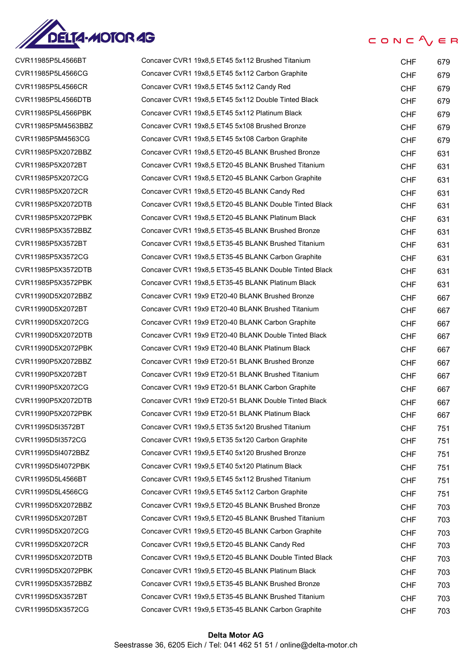

| CVR11985P5L4566BT  | Concaver CVR1 19x8,5 ET45 5x112 Brushed Titanium       | <b>CHF</b> | 679 |
|--------------------|--------------------------------------------------------|------------|-----|
| CVR11985P5L4566CG  | Concaver CVR1 19x8,5 ET45 5x112 Carbon Graphite        | <b>CHF</b> | 679 |
| CVR11985P5L4566CR  | Concaver CVR1 19x8,5 ET45 5x112 Candy Red              | <b>CHF</b> | 679 |
| CVR11985P5L4566DTB | Concaver CVR1 19x8,5 ET45 5x112 Double Tinted Black    | <b>CHF</b> | 679 |
| CVR11985P5L4566PBK | Concaver CVR1 19x8,5 ET45 5x112 Platinum Black         | <b>CHF</b> | 679 |
| CVR11985P5M4563BBZ | Concaver CVR1 19x8,5 ET45 5x108 Brushed Bronze         | <b>CHF</b> | 679 |
| CVR11985P5M4563CG  | Concaver CVR1 19x8,5 ET45 5x108 Carbon Graphite        | <b>CHF</b> | 679 |
| CVR11985P5X2072BBZ | Concaver CVR1 19x8,5 ET20-45 BLANK Brushed Bronze      | <b>CHF</b> | 631 |
| CVR11985P5X2072BT  | Concaver CVR1 19x8,5 ET20-45 BLANK Brushed Titanium    | <b>CHF</b> | 631 |
| CVR11985P5X2072CG  | Concaver CVR1 19x8,5 ET20-45 BLANK Carbon Graphite     | <b>CHF</b> | 631 |
| CVR11985P5X2072CR  | Concaver CVR1 19x8,5 ET20-45 BLANK Candy Red           | <b>CHF</b> | 631 |
| CVR11985P5X2072DTB | Concaver CVR1 19x8,5 ET20-45 BLANK Double Tinted Black | <b>CHF</b> | 631 |
| CVR11985P5X2072PBK | Concaver CVR1 19x8,5 ET20-45 BLANK Platinum Black      | <b>CHF</b> | 631 |
| CVR11985P5X3572BBZ | Concaver CVR1 19x8,5 ET35-45 BLANK Brushed Bronze      | <b>CHF</b> | 631 |
| CVR11985P5X3572BT  | Concaver CVR1 19x8,5 ET35-45 BLANK Brushed Titanium    | <b>CHF</b> | 631 |
| CVR11985P5X3572CG  | Concaver CVR1 19x8,5 ET35-45 BLANK Carbon Graphite     | <b>CHF</b> | 631 |
| CVR11985P5X3572DTB | Concaver CVR1 19x8,5 ET35-45 BLANK Double Tinted Black | <b>CHF</b> | 631 |
| CVR11985P5X3572PBK | Concaver CVR1 19x8,5 ET35-45 BLANK Platinum Black      | <b>CHF</b> | 631 |
| CVR11990D5X2072BBZ | Concaver CVR1 19x9 ET20-40 BLANK Brushed Bronze        | <b>CHF</b> | 667 |
| CVR11990D5X2072BT  | Concaver CVR1 19x9 ET20-40 BLANK Brushed Titanium      | <b>CHF</b> | 667 |
| CVR11990D5X2072CG  | Concaver CVR1 19x9 ET20-40 BLANK Carbon Graphite       | <b>CHF</b> | 667 |
| CVR11990D5X2072DTB | Concaver CVR1 19x9 ET20-40 BLANK Double Tinted Black   | <b>CHF</b> | 667 |
| CVR11990D5X2072PBK | Concaver CVR1 19x9 ET20-40 BLANK Platinum Black        | <b>CHF</b> | 667 |
| CVR11990P5X2072BBZ | Concaver CVR1 19x9 ET20-51 BLANK Brushed Bronze        | <b>CHF</b> | 667 |
| CVR11990P5X2072BT  | Concaver CVR1 19x9 ET20-51 BLANK Brushed Titanium      | <b>CHF</b> | 667 |
| CVR11990P5X2072CG  | Concaver CVR1 19x9 ET20-51 BLANK Carbon Graphite       | <b>CHF</b> | 667 |
| CVR11990P5X2072DTB | Concaver CVR1 19x9 ET20-51 BLANK Double Tinted Black   | <b>CHF</b> | 667 |
| CVR11990P5X2072PBK | Concaver CVR1 19x9 ET20-51 BLANK Platinum Black        | <b>CHF</b> | 667 |
| CVR11995D5I3572BT  | Concaver CVR1 19x9,5 ET35 5x120 Brushed Titanium       | <b>CHF</b> | 751 |
| CVR11995D5I3572CG  | Concaver CVR1 19x9,5 ET35 5x120 Carbon Graphite        | <b>CHF</b> | 751 |
| CVR11995D5I4072BBZ | Concaver CVR1 19x9,5 ET40 5x120 Brushed Bronze         | <b>CHF</b> | 751 |
| CVR11995D5I4072PBK | Concaver CVR1 19x9,5 ET40 5x120 Platinum Black         | <b>CHF</b> | 751 |
| CVR11995D5L4566BT  | Concaver CVR1 19x9,5 ET45 5x112 Brushed Titanium       | <b>CHF</b> | 751 |
| CVR11995D5L4566CG  | Concaver CVR1 19x9,5 ET45 5x112 Carbon Graphite        | <b>CHF</b> | 751 |
| CVR11995D5X2072BBZ | Concaver CVR1 19x9,5 ET20-45 BLANK Brushed Bronze      | <b>CHF</b> | 703 |
| CVR11995D5X2072BT  | Concaver CVR1 19x9,5 ET20-45 BLANK Brushed Titanium    | <b>CHF</b> | 703 |
| CVR11995D5X2072CG  | Concaver CVR1 19x9,5 ET20-45 BLANK Carbon Graphite     | <b>CHF</b> | 703 |
| CVR11995D5X2072CR  | Concaver CVR1 19x9,5 ET20-45 BLANK Candy Red           | <b>CHF</b> | 703 |
| CVR11995D5X2072DTB | Concaver CVR1 19x9,5 ET20-45 BLANK Double Tinted Black | <b>CHF</b> | 703 |
| CVR11995D5X2072PBK | Concaver CVR1 19x9,5 ET20-45 BLANK Platinum Black      | <b>CHF</b> | 703 |
| CVR11995D5X3572BBZ | Concaver CVR1 19x9,5 ET35-45 BLANK Brushed Bronze      | <b>CHF</b> | 703 |
| CVR11995D5X3572BT  | Concaver CVR1 19x9,5 ET35-45 BLANK Brushed Titanium    | <b>CHF</b> | 703 |
| CVR11995D5X3572CG  | Concaver CVR1 19x9,5 ET35-45 BLANK Carbon Graphite     | <b>CHF</b> | 703 |
|                    |                                                        |            |     |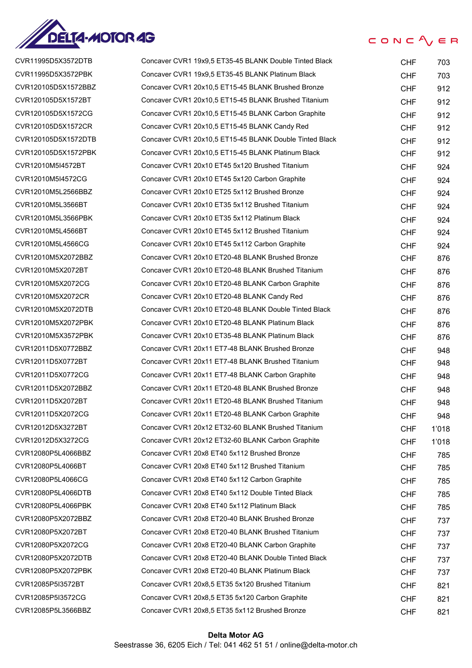

#### $CONC$ <sub>/ $E$ </sub> $R$

| CVR11995D5X3572DTB  | Concaver CVR1 19x9,5 ET35-45 BLANK Double Tinted Black  | <b>CHF</b> | 703   |
|---------------------|---------------------------------------------------------|------------|-------|
| CVR11995D5X3572PBK  | Concaver CVR1 19x9,5 ET35-45 BLANK Platinum Black       | <b>CHF</b> | 703   |
| CVR120105D5X1572BBZ | Concaver CVR1 20x10,5 ET15-45 BLANK Brushed Bronze      | <b>CHF</b> | 912   |
| CVR120105D5X1572BT  | Concaver CVR1 20x10,5 ET15-45 BLANK Brushed Titanium    | <b>CHF</b> | 912   |
| CVR120105D5X1572CG  | Concaver CVR1 20x10,5 ET15-45 BLANK Carbon Graphite     | <b>CHF</b> | 912   |
| CVR120105D5X1572CR  | Concaver CVR1 20x10,5 ET15-45 BLANK Candy Red           | <b>CHF</b> | 912   |
| CVR120105D5X1572DTB | Concaver CVR1 20x10,5 ET15-45 BLANK Double Tinted Black | <b>CHF</b> | 912   |
| CVR120105D5X1572PBK | Concaver CVR1 20x10,5 ET15-45 BLANK Platinum Black      | <b>CHF</b> | 912   |
| CVR12010M5I4572BT   | Concaver CVR1 20x10 ET45 5x120 Brushed Titanium         | <b>CHF</b> | 924   |
| CVR12010M5I4572CG   | Concaver CVR1 20x10 ET45 5x120 Carbon Graphite          | <b>CHF</b> | 924   |
| CVR12010M5L2566BBZ  | Concaver CVR1 20x10 ET25 5x112 Brushed Bronze           | <b>CHF</b> | 924   |
| CVR12010M5L3566BT   | Concaver CVR1 20x10 ET35 5x112 Brushed Titanium         | <b>CHF</b> | 924   |
| CVR12010M5L3566PBK  | Concaver CVR1 20x10 ET35 5x112 Platinum Black           | <b>CHF</b> | 924   |
| CVR12010M5L4566BT   | Concaver CVR1 20x10 ET45 5x112 Brushed Titanium         | <b>CHF</b> | 924   |
| CVR12010M5L4566CG   | Concaver CVR1 20x10 ET45 5x112 Carbon Graphite          | <b>CHF</b> | 924   |
| CVR12010M5X2072BBZ  | Concaver CVR1 20x10 ET20-48 BLANK Brushed Bronze        | <b>CHF</b> | 876   |
| CVR12010M5X2072BT   | Concaver CVR1 20x10 ET20-48 BLANK Brushed Titanium      | <b>CHF</b> | 876   |
| CVR12010M5X2072CG   | Concaver CVR1 20x10 ET20-48 BLANK Carbon Graphite       | <b>CHF</b> | 876   |
| CVR12010M5X2072CR   | Concaver CVR1 20x10 ET20-48 BLANK Candy Red             | <b>CHF</b> | 876   |
| CVR12010M5X2072DTB  | Concaver CVR1 20x10 ET20-48 BLANK Double Tinted Black   | <b>CHF</b> | 876   |
| CVR12010M5X2072PBK  | Concaver CVR1 20x10 ET20-48 BLANK Platinum Black        | <b>CHF</b> | 876   |
| CVR12010M5X3572PBK  | Concaver CVR1 20x10 ET35-48 BLANK Platinum Black        | <b>CHF</b> | 876   |
| CVR12011D5X0772BBZ  | Concaver CVR1 20x11 ET7-48 BLANK Brushed Bronze         | <b>CHF</b> | 948   |
| CVR12011D5X0772BT   | Concaver CVR1 20x11 ET7-48 BLANK Brushed Titanium       | <b>CHF</b> | 948   |
| CVR12011D5X0772CG   | Concaver CVR1 20x11 ET7-48 BLANK Carbon Graphite        | <b>CHF</b> | 948   |
| CVR12011D5X2072BBZ  | Concaver CVR1 20x11 ET20-48 BLANK Brushed Bronze        | <b>CHF</b> | 948   |
| CVR12011D5X2072BT   | Concaver CVR1 20x11 ET20-48 BLANK Brushed Titanium      | <b>CHF</b> | 948   |
| CVR12011D5X2072CG   | Concaver CVR1 20x11 ET20-48 BLANK Carbon Graphite       | <b>CHF</b> | 948   |
| CVR12012D5X3272BT   | Concaver CVR1 20x12 ET32-60 BLANK Brushed Titanium      | <b>CHF</b> | 1'018 |
| CVR12012D5X3272CG   | Concaver CVR1 20x12 ET32-60 BLANK Carbon Graphite       | <b>CHF</b> | 1'018 |
| CVR12080P5L4066BBZ  | Concaver CVR1 20x8 ET40 5x112 Brushed Bronze            | <b>CHF</b> | 785   |
| CVR12080P5L4066BT   | Concaver CVR1 20x8 ET40 5x112 Brushed Titanium          | <b>CHF</b> | 785   |
| CVR12080P5L4066CG   | Concaver CVR1 20x8 ET40 5x112 Carbon Graphite           | <b>CHF</b> | 785   |
| CVR12080P5L4066DTB  | Concaver CVR1 20x8 ET40 5x112 Double Tinted Black       | <b>CHF</b> | 785   |
| CVR12080P5L4066PBK  | Concaver CVR1 20x8 ET40 5x112 Platinum Black            | <b>CHF</b> | 785   |
| CVR12080P5X2072BBZ  | Concaver CVR1 20x8 ET20-40 BLANK Brushed Bronze         | <b>CHF</b> | 737   |
| CVR12080P5X2072BT   | Concaver CVR1 20x8 ET20-40 BLANK Brushed Titanium       | <b>CHF</b> | 737   |
| CVR12080P5X2072CG   | Concaver CVR1 20x8 ET20-40 BLANK Carbon Graphite        | <b>CHF</b> | 737   |
| CVR12080P5X2072DTB  | Concaver CVR1 20x8 ET20-40 BLANK Double Tinted Black    | <b>CHF</b> | 737   |
| CVR12080P5X2072PBK  | Concaver CVR1 20x8 ET20-40 BLANK Platinum Black         | <b>CHF</b> | 737   |
| CVR12085P5I3572BT   | Concaver CVR1 20x8,5 ET35 5x120 Brushed Titanium        | <b>CHF</b> | 821   |
| CVR12085P5I3572CG   | Concaver CVR1 20x8,5 ET35 5x120 Carbon Graphite         | <b>CHF</b> | 821   |
| CVR12085P5L3566BBZ  | Concaver CVR1 20x8,5 ET35 5x112 Brushed Bronze          | <b>CHF</b> | 821   |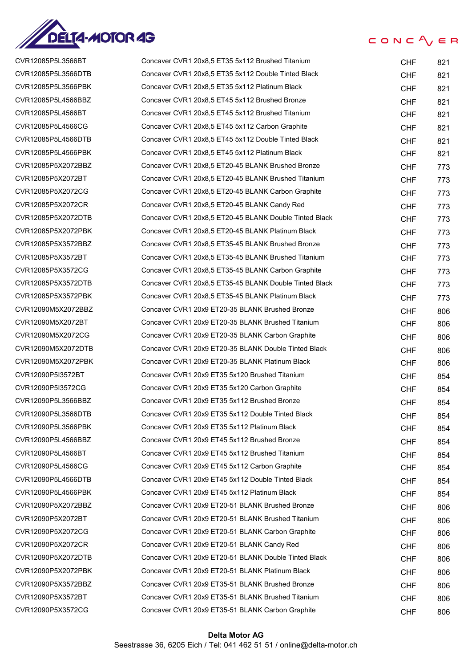

| UVR IZU85P5L3500B I |
|---------------------|
| CVR12085P5L3566DTB  |
| CVR12085P5L3566PBK  |
| CVR12085P5L4566BBZ  |
| CVR12085P5L4566BT   |
| CVR12085P5L4566CG   |
| CVR12085P5L4566DTB  |
| CVR12085P5L4566PBK  |
| CVR12085P5X2072BBZ  |
| CVR12085P5X2072BT   |
| CVR12085P5X2072CG   |
| CVR12085P5X2072CR   |
| CVR12085P5X2072DTB  |
| CVR12085P5X2072PBK  |
| CVR12085P5X3572BBZ  |
| CVR12085P5X3572BT   |
| CVR12085P5X3572CG   |
| CVR12085P5X3572DTB  |
| CVR12085P5X3572PBK  |
| CVR12090M5X2072BBZ  |
| CVR12090M5X2072BT   |
| CVR12090M5X2072CG   |
| CVR12090M5X2072DTB  |
| CVR12090M5X2072PBK  |
| CVR12090P5I3572BT   |
| CVR12090P5I3572CG   |
| CVR12090P5L3566BBZ  |
| CVR12090P5L3566DTB  |
| CVR12090P5L3566PBK  |
| CVR12090P5L4566BBZ  |
| CVR12090P5L4566BT   |
| CVR12090P5L4566CG   |
| CVR12090P5L4566DTB  |
| CVR12090P5L4566PBK  |
| CVR12090P5X2072BBZ  |
| CVR12090P5X2072BT   |
| CVR12090P5X2072CG   |
| CVR12090P5X2072CR   |
| CVR12090P5X2072DTB  |
| CVR12090P5X2072PBK  |
| CVR12090P5X3572BBZ  |
| CVR12090P5X3572BT   |
| CVR12090P5X3572CG   |

| CVR12085P5L3566BT  | Concaver CVR1 20x8,5 ET35 5x112 Brushed Titanium       | <b>CHF</b> | 821 |
|--------------------|--------------------------------------------------------|------------|-----|
| CVR12085P5L3566DTB | Concaver CVR1 20x8,5 ET35 5x112 Double Tinted Black    | <b>CHF</b> | 821 |
| CVR12085P5L3566PBK | Concaver CVR1 20x8,5 ET35 5x112 Platinum Black         | <b>CHF</b> | 821 |
| CVR12085P5L4566BBZ | Concaver CVR1 20x8,5 ET45 5x112 Brushed Bronze         | <b>CHF</b> | 821 |
| CVR12085P5L4566BT  | Concaver CVR1 20x8,5 ET45 5x112 Brushed Titanium       | <b>CHF</b> | 821 |
| CVR12085P5L4566CG  | Concaver CVR1 20x8,5 ET45 5x112 Carbon Graphite        | <b>CHF</b> | 821 |
| CVR12085P5L4566DTB | Concaver CVR1 20x8,5 ET45 5x112 Double Tinted Black    | <b>CHF</b> | 821 |
| CVR12085P5L4566PBK | Concaver CVR1 20x8,5 ET45 5x112 Platinum Black         | <b>CHF</b> | 821 |
| CVR12085P5X2072BBZ | Concaver CVR1 20x8,5 ET20-45 BLANK Brushed Bronze      | <b>CHF</b> | 773 |
| CVR12085P5X2072BT  | Concaver CVR1 20x8,5 ET20-45 BLANK Brushed Titanium    | <b>CHF</b> | 773 |
| CVR12085P5X2072CG  | Concaver CVR1 20x8,5 ET20-45 BLANK Carbon Graphite     | <b>CHF</b> | 773 |
| CVR12085P5X2072CR  | Concaver CVR1 20x8,5 ET20-45 BLANK Candy Red           | <b>CHF</b> | 773 |
| CVR12085P5X2072DTB | Concaver CVR1 20x8,5 ET20-45 BLANK Double Tinted Black | <b>CHF</b> | 773 |
| CVR12085P5X2072PBK | Concaver CVR1 20x8,5 ET20-45 BLANK Platinum Black      | <b>CHF</b> | 773 |
| CVR12085P5X3572BBZ | Concaver CVR1 20x8,5 ET35-45 BLANK Brushed Bronze      | <b>CHF</b> | 773 |
| CVR12085P5X3572BT  | Concaver CVR1 20x8,5 ET35-45 BLANK Brushed Titanium    | <b>CHF</b> | 773 |
| CVR12085P5X3572CG  | Concaver CVR1 20x8.5 ET35-45 BLANK Carbon Graphite     | <b>CHF</b> | 773 |
| CVR12085P5X3572DTB | Concaver CVR1 20x8,5 ET35-45 BLANK Double Tinted Black | <b>CHF</b> | 773 |
| CVR12085P5X3572PBK | Concaver CVR1 20x8,5 ET35-45 BLANK Platinum Black      | <b>CHF</b> | 773 |
| CVR12090M5X2072BBZ | Concaver CVR1 20x9 ET20-35 BLANK Brushed Bronze        | <b>CHF</b> | 806 |
| CVR12090M5X2072BT  | Concaver CVR1 20x9 ET20-35 BLANK Brushed Titanium      | <b>CHF</b> | 806 |
| CVR12090M5X2072CG  | Concaver CVR1 20x9 ET20-35 BLANK Carbon Graphite       | <b>CHF</b> | 806 |
| CVR12090M5X2072DTB | Concaver CVR1 20x9 ET20-35 BLANK Double Tinted Black   | <b>CHF</b> | 806 |
| CVR12090M5X2072PBK | Concaver CVR1 20x9 ET20-35 BLANK Platinum Black        | <b>CHF</b> | 806 |
| CVR12090P5I3572BT  | Concaver CVR1 20x9 ET35 5x120 Brushed Titanium         | <b>CHF</b> | 854 |
| CVR12090P5I3572CG  | Concaver CVR1 20x9 ET35 5x120 Carbon Graphite          | <b>CHF</b> | 854 |
| CVR12090P5L3566BBZ | Concaver CVR1 20x9 ET35 5x112 Brushed Bronze           | <b>CHF</b> | 854 |
| CVR12090P5L3566DTB | Concaver CVR1 20x9 ET35 5x112 Double Tinted Black      | <b>CHF</b> | 854 |
| CVR12090P5L3566PBK | Concaver CVR1 20x9 ET35 5x112 Platinum Black           | <b>CHF</b> | 854 |
| CVR12090P5L4566BBZ | Concaver CVR1 20x9 ET45 5x112 Brushed Bronze           | <b>CHF</b> | 854 |
| CVR12090P5L4566BT  | Concaver CVR1 20x9 ET45 5x112 Brushed Titanium         | <b>CHF</b> | 854 |
| CVR12090P5L4566CG  | Concaver CVR1 20x9 ET45 5x112 Carbon Graphite          | <b>CHF</b> | 854 |
| CVR12090P5L4566DTB | Concaver CVR1 20x9 ET45 5x112 Double Tinted Black      | <b>CHF</b> | 854 |
| CVR12090P5L4566PBK | Concaver CVR1 20x9 ET45 5x112 Platinum Black           | <b>CHF</b> | 854 |
| CVR12090P5X2072BBZ | Concaver CVR1 20x9 ET20-51 BLANK Brushed Bronze        | <b>CHF</b> | 806 |
| CVR12090P5X2072BT  | Concaver CVR1 20x9 ET20-51 BLANK Brushed Titanium      | <b>CHF</b> | 806 |
| CVR12090P5X2072CG  | Concaver CVR1 20x9 ET20-51 BLANK Carbon Graphite       | <b>CHF</b> | 806 |
| CVR12090P5X2072CR  | Concaver CVR1 20x9 ET20-51 BLANK Candy Red             | <b>CHF</b> | 806 |
| CVR12090P5X2072DTB | Concaver CVR1 20x9 ET20-51 BLANK Double Tinted Black   | <b>CHF</b> | 806 |
| CVR12090P5X2072PBK | Concaver CVR1 20x9 ET20-51 BLANK Platinum Black        | <b>CHF</b> | 806 |
| CVR12090P5X3572BBZ | Concaver CVR1 20x9 ET35-51 BLANK Brushed Bronze        | <b>CHF</b> | 806 |
| CVR12090P5X3572BT  | Concaver CVR1 20x9 ET35-51 BLANK Brushed Titanium      | <b>CHF</b> | 806 |
| CVR12090P5X3572CG  | Concaver CVR1 20x9 ET35-51 BLANK Carbon Graphite       | <b>CHF</b> | 806 |
|                    |                                                        |            |     |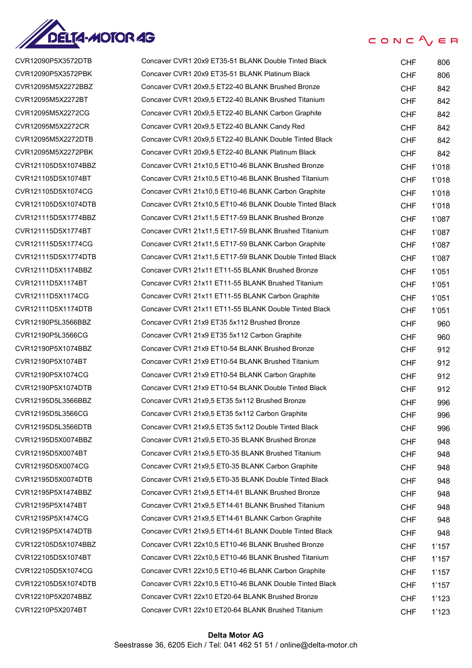

| CVR12090P5X3572DTB  |
|---------------------|
| CVR12090P5X3572PBK  |
| CVR12095M5X2272BBZ  |
| CVR12095M5X2272BT   |
| CVR12095M5X2272CG   |
| CVR12095M5X2272CR   |
| CVR12095M5X2272DTB  |
| CVR12095M5X2272PBK  |
| CVR121105D5X1074BBZ |
| CVR121105D5X1074BT  |
| CVR121105D5X1074CG  |
| CVR121105D5X1074DTB |
| CVR121115D5X1774BBZ |
| CVR121115D5X1774BT  |
| CVR121115D5X1774CG  |
| CVR121115D5X1774DTB |
| CVR12111D5X1174BBZ  |
| CVR12111D5X1174BT   |
| CVR12111D5X1174CG   |
| CVR12111D5X1174DTB  |
| CVR12190P5L3566BBZ  |
| CVR12190P5L3566CG   |
| CVR12190P5X1074BBZ  |
| CVR12190P5X1074BT   |
| CVR12190P5X1074CG   |
| CVR12190P5X1074DTB  |
| CVR12195D5L3566BBZ  |
| CVR12195D5L3566CG   |
| CVR12195D5L3566DTB  |
| CVR12195D5X0074BBZ  |
| CVR12195D5X0074BT   |
| CVR12195D5X0074CG   |
| CVR12195D5X0074DTB  |
| CVR12195P5X1474BBZ  |
| CVR12195P5X1474BT   |
| CVR12195P5X1474CG   |
| CVR12195P5X1474DTB  |
| CVR122105D5X1074BBZ |
| CVR122105D5X1074BT  |
| CVR122105D5X1074CG  |
| CVR122105D5X1074DTB |
| CVR12210P5X2074BBZ  |
| CVR12210P5X2074BT   |

| CVR12090P5X3572DTB  | Concaver CVR1 20x9 ET35-51 BLANK Double Tinted Black    | <b>CHF</b> | 806   |
|---------------------|---------------------------------------------------------|------------|-------|
| CVR12090P5X3572PBK  | Concaver CVR1 20x9 ET35-51 BLANK Platinum Black         | <b>CHF</b> | 806   |
| CVR12095M5X2272BBZ  | Concaver CVR1 20x9,5 ET22-40 BLANK Brushed Bronze       | <b>CHF</b> | 842   |
| CVR12095M5X2272BT   | Concaver CVR1 20x9,5 ET22-40 BLANK Brushed Titanium     | <b>CHF</b> | 842   |
| CVR12095M5X2272CG   | Concaver CVR1 20x9,5 ET22-40 BLANK Carbon Graphite      | <b>CHF</b> | 842   |
| CVR12095M5X2272CR   | Concaver CVR1 20x9,5 ET22-40 BLANK Candy Red            | <b>CHF</b> | 842   |
| CVR12095M5X2272DTB  | Concaver CVR1 20x9,5 ET22-40 BLANK Double Tinted Black  | <b>CHF</b> | 842   |
| CVR12095M5X2272PBK  | Concaver CVR1 20x9,5 ET22-40 BLANK Platinum Black       | <b>CHF</b> | 842   |
| CVR121105D5X1074BBZ | Concaver CVR1 21x10,5 ET10-46 BLANK Brushed Bronze      | <b>CHF</b> | 1'018 |
| CVR121105D5X1074BT  | Concaver CVR1 21x10,5 ET10-46 BLANK Brushed Titanium    | <b>CHF</b> | 1'018 |
| CVR121105D5X1074CG  | Concaver CVR1 21x10,5 ET10-46 BLANK Carbon Graphite     | <b>CHF</b> | 1'018 |
| CVR121105D5X1074DTB | Concaver CVR1 21x10,5 ET10-46 BLANK Double Tinted Black | <b>CHF</b> | 1'018 |
| CVR121115D5X1774BBZ | Concaver CVR1 21x11,5 ET17-59 BLANK Brushed Bronze      | <b>CHF</b> | 1'087 |
| CVR121115D5X1774BT  | Concaver CVR1 21x11,5 ET17-59 BLANK Brushed Titanium    | <b>CHF</b> | 1'087 |
| CVR121115D5X1774CG  | Concaver CVR1 21x11,5 ET17-59 BLANK Carbon Graphite     | <b>CHF</b> | 1'087 |
| CVR121115D5X1774DTB | Concaver CVR1 21x11,5 ET17-59 BLANK Double Tinted Black | CHF        | 1'087 |
| CVR12111D5X1174BBZ  | Concaver CVR1 21x11 ET11-55 BLANK Brushed Bronze        | CHF        | 1'051 |
| CVR12111D5X1174BT   | Concaver CVR1 21x11 ET11-55 BLANK Brushed Titanium      | <b>CHF</b> | 1'051 |
| CVR12111D5X1174CG   | Concaver CVR1 21x11 ET11-55 BLANK Carbon Graphite       | <b>CHF</b> | 1'051 |
| CVR12111D5X1174DTB  | Concaver CVR1 21x11 ET11-55 BLANK Double Tinted Black   | <b>CHF</b> | 1'051 |
| CVR12190P5L3566BBZ  | Concaver CVR1 21x9 ET35 5x112 Brushed Bronze            | <b>CHF</b> | 960   |
| CVR12190P5L3566CG   | Concaver CVR1 21x9 ET35 5x112 Carbon Graphite           | <b>CHF</b> | 960   |
| CVR12190P5X1074BBZ  | Concaver CVR1 21x9 ET10-54 BLANK Brushed Bronze         | <b>CHF</b> | 912   |
| CVR12190P5X1074BT   | Concaver CVR1 21x9 ET10-54 BLANK Brushed Titanium       | <b>CHF</b> | 912   |
| CVR12190P5X1074CG   | Concaver CVR1 21x9 ET10-54 BLANK Carbon Graphite        | <b>CHF</b> | 912   |
| CVR12190P5X1074DTB  | Concaver CVR1 21x9 ET10-54 BLANK Double Tinted Black    | <b>CHF</b> | 912   |
| CVR12195D5L3566BBZ  | Concaver CVR1 21x9,5 ET35 5x112 Brushed Bronze          | <b>CHF</b> | 996   |
| CVR12195D5L3566CG   | Concaver CVR1 21x9,5 ET35 5x112 Carbon Graphite         | <b>CHF</b> | 996   |
| CVR12195D5L3566DTB  | Concaver CVR1 21x9,5 ET35 5x112 Double Tinted Black     | <b>CHF</b> | 996   |
| CVR12195D5X0074BBZ  | Concaver CVR1 21x9,5 ET0-35 BLANK Brushed Bronze        | <b>CHF</b> | 948   |
| CVR12195D5X0074BT   | Concaver CVR1 21x9,5 ET0-35 BLANK Brushed Titanium      | <b>CHF</b> | 948   |
| CVR12195D5X0074CG   | Concaver CVR1 21x9,5 ET0-35 BLANK Carbon Graphite       | <b>CHF</b> | 948   |
| CVR12195D5X0074DTB  | Concaver CVR1 21x9,5 ET0-35 BLANK Double Tinted Black   | <b>CHF</b> | 948   |
| CVR12195P5X1474BBZ  | Concaver CVR1 21x9,5 ET14-61 BLANK Brushed Bronze       | <b>CHF</b> | 948   |
| CVR12195P5X1474BT   | Concaver CVR1 21x9,5 ET14-61 BLANK Brushed Titanium     | <b>CHF</b> | 948   |
| CVR12195P5X1474CG   | Concaver CVR1 21x9,5 ET14-61 BLANK Carbon Graphite      | <b>CHF</b> | 948   |
| CVR12195P5X1474DTB  | Concaver CVR1 21x9,5 ET14-61 BLANK Double Tinted Black  | <b>CHF</b> | 948   |
| CVR122105D5X1074BBZ | Concaver CVR1 22x10,5 ET10-46 BLANK Brushed Bronze      | <b>CHF</b> | 1'157 |
| CVR122105D5X1074BT  | Concaver CVR1 22x10,5 ET10-46 BLANK Brushed Titanium    | <b>CHF</b> | 1'157 |
| CVR122105D5X1074CG  | Concaver CVR1 22x10,5 ET10-46 BLANK Carbon Graphite     | <b>CHF</b> | 1'157 |
| CVR122105D5X1074DTB | Concaver CVR1 22x10,5 ET10-46 BLANK Double Tinted Black | <b>CHF</b> | 1'157 |
| CVR12210P5X2074BBZ  | Concaver CVR1 22x10 ET20-64 BLANK Brushed Bronze        | <b>CHF</b> | 1'123 |
| CVR12210P5X2074BT   | Concaver CVR1 22x10 ET20-64 BLANK Brushed Titanium      | <b>CHF</b> | 1'123 |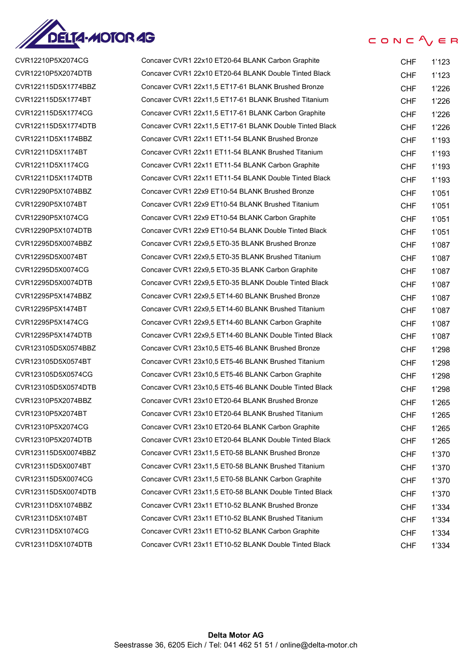

| CVR12210P5X2074CG   | Concaver CVR1 22x10 ET20-64 BLANK Carbon Graphite       | <b>CHF</b> | 1'123 |
|---------------------|---------------------------------------------------------|------------|-------|
| CVR12210P5X2074DTB  | Concaver CVR1 22x10 ET20-64 BLANK Double Tinted Black   | <b>CHF</b> | 1'123 |
| CVR122115D5X1774BBZ | Concaver CVR1 22x11,5 ET17-61 BLANK Brushed Bronze      | <b>CHF</b> | 1'226 |
| CVR122115D5X1774BT  | Concaver CVR1 22x11,5 ET17-61 BLANK Brushed Titanium    | <b>CHF</b> | 1'226 |
| CVR122115D5X1774CG  | Concaver CVR1 22x11,5 ET17-61 BLANK Carbon Graphite     | <b>CHF</b> | 1'226 |
| CVR122115D5X1774DTB | Concaver CVR1 22x11,5 ET17-61 BLANK Double Tinted Black | <b>CHF</b> | 1'226 |
| CVR12211D5X1174BBZ  | Concaver CVR1 22x11 ET11-54 BLANK Brushed Bronze        | <b>CHF</b> | 1'193 |
| CVR12211D5X1174BT   | Concaver CVR1 22x11 ET11-54 BLANK Brushed Titanium      | <b>CHF</b> | 1'193 |
| CVR12211D5X1174CG   | Concaver CVR1 22x11 ET11-54 BLANK Carbon Graphite       | <b>CHF</b> | 1'193 |
| CVR12211D5X1174DTB  | Concaver CVR1 22x11 ET11-54 BLANK Double Tinted Black   | <b>CHF</b> | 1'193 |
| CVR12290P5X1074BBZ  | Concaver CVR1 22x9 ET10-54 BLANK Brushed Bronze         | <b>CHF</b> | 1'051 |
| CVR12290P5X1074BT   | Concaver CVR1 22x9 ET10-54 BLANK Brushed Titanium       | <b>CHF</b> | 1'051 |
| CVR12290P5X1074CG   | Concaver CVR1 22x9 ET10-54 BLANK Carbon Graphite        | CHF        | 1'051 |
| CVR12290P5X1074DTB  | Concaver CVR1 22x9 ET10-54 BLANK Double Tinted Black    | <b>CHF</b> | 1'051 |
| CVR12295D5X0074BBZ  | Concaver CVR1 22x9,5 ET0-35 BLANK Brushed Bronze        | <b>CHF</b> | 1'087 |
| CVR12295D5X0074BT   | Concaver CVR1 22x9,5 ET0-35 BLANK Brushed Titanium      | <b>CHF</b> | 1'087 |
| CVR12295D5X0074CG   | Concaver CVR1 22x9,5 ET0-35 BLANK Carbon Graphite       | <b>CHF</b> | 1'087 |
| CVR12295D5X0074DTB  | Concaver CVR1 22x9,5 ET0-35 BLANK Double Tinted Black   | <b>CHF</b> | 1'087 |
| CVR12295P5X1474BBZ  | Concaver CVR1 22x9,5 ET14-60 BLANK Brushed Bronze       | <b>CHF</b> | 1'087 |
| CVR12295P5X1474BT   | Concaver CVR1 22x9,5 ET14-60 BLANK Brushed Titanium     | <b>CHF</b> | 1'087 |
| CVR12295P5X1474CG   | Concaver CVR1 22x9,5 ET14-60 BLANK Carbon Graphite      | <b>CHF</b> | 1'087 |
| CVR12295P5X1474DTB  | Concaver CVR1 22x9,5 ET14-60 BLANK Double Tinted Black  | <b>CHF</b> | 1'087 |
| CVR123105D5X0574BBZ | Concaver CVR1 23x10,5 ET5-46 BLANK Brushed Bronze       | <b>CHF</b> | 1'298 |
| CVR123105D5X0574BT  | Concaver CVR1 23x10,5 ET5-46 BLANK Brushed Titanium     | CHF        | 1'298 |
| CVR123105D5X0574CG  | Concaver CVR1 23x10,5 ET5-46 BLANK Carbon Graphite      | <b>CHF</b> | 1'298 |
| CVR123105D5X0574DTB | Concaver CVR1 23x10,5 ET5-46 BLANK Double Tinted Black  | <b>CHF</b> | 1'298 |
| CVR12310P5X2074BBZ  | Concaver CVR1 23x10 ET20-64 BLANK Brushed Bronze        | <b>CHF</b> | 1'265 |
| CVR12310P5X2074BT   | Concaver CVR1 23x10 ET20-64 BLANK Brushed Titanium      | <b>CHF</b> | 1'265 |
| CVR12310P5X2074CG   | Concaver CVR1 23x10 ET20-64 BLANK Carbon Graphite       | <b>CHF</b> | 1'265 |
| CVR12310P5X2074DTB  | Concaver CVR1 23x10 ET20-64 BLANK Double Tinted Black   | <b>CHF</b> | 1'265 |
| CVR123115D5X0074BBZ | Concaver CVR1 23x11,5 ET0-58 BLANK Brushed Bronze       | <b>CHF</b> | 1'370 |
| CVR123115D5X0074BT  | Concaver CVR1 23x11,5 ET0-58 BLANK Brushed Titanium     | <b>CHF</b> | 1'370 |
| CVR123115D5X0074CG  | Concaver CVR1 23x11,5 ET0-58 BLANK Carbon Graphite      | <b>CHF</b> | 1'370 |
| CVR123115D5X0074DTB | Concaver CVR1 23x11,5 ET0-58 BLANK Double Tinted Black  | <b>CHF</b> | 1'370 |
| CVR12311D5X1074BBZ  | Concaver CVR1 23x11 ET10-52 BLANK Brushed Bronze        | <b>CHF</b> | 1'334 |
| CVR12311D5X1074BT   | Concaver CVR1 23x11 ET10-52 BLANK Brushed Titanium      | <b>CHF</b> | 1'334 |
| CVR12311D5X1074CG   | Concaver CVR1 23x11 ET10-52 BLANK Carbon Graphite       | <b>CHF</b> | 1'334 |
| CVR12311D5X1074DTB  | Concaver CVR1 23x11 ET10-52 BLANK Double Tinted Black   | <b>CHF</b> | 1'334 |
|                     |                                                         |            |       |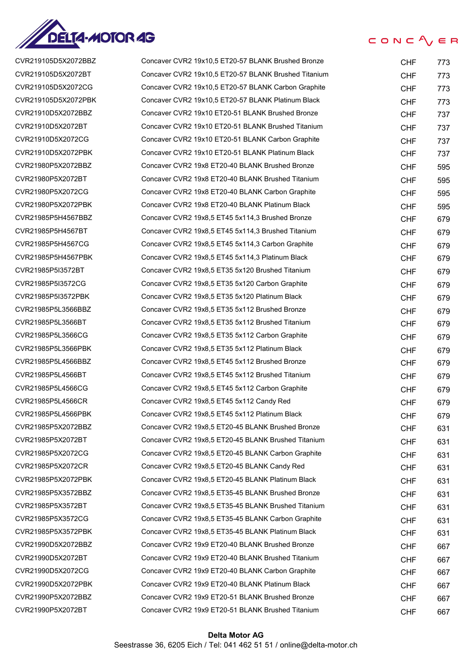

| CVR219105D5X2072BBZ | Concaver CVR2 19x10,5 ET20-57 BLANK Brushed Bronze   | <b>CHF</b> | 773 |
|---------------------|------------------------------------------------------|------------|-----|
| CVR219105D5X2072BT  | Concaver CVR2 19x10,5 ET20-57 BLANK Brushed Titanium | <b>CHF</b> | 773 |
| CVR219105D5X2072CG  | Concaver CVR2 19x10,5 ET20-57 BLANK Carbon Graphite  | <b>CHF</b> | 773 |
| CVR219105D5X2072PBK | Concaver CVR2 19x10,5 ET20-57 BLANK Platinum Black   | <b>CHF</b> | 773 |
| CVR21910D5X2072BBZ  | Concaver CVR2 19x10 ET20-51 BLANK Brushed Bronze     | <b>CHF</b> | 737 |
| CVR21910D5X2072BT   | Concaver CVR2 19x10 ET20-51 BLANK Brushed Titanium   | <b>CHF</b> | 737 |
| CVR21910D5X2072CG   | Concaver CVR2 19x10 ET20-51 BLANK Carbon Graphite    | <b>CHF</b> | 737 |
| CVR21910D5X2072PBK  | Concaver CVR2 19x10 ET20-51 BLANK Platinum Black     | <b>CHF</b> | 737 |
| CVR21980P5X2072BBZ  | Concaver CVR2 19x8 ET20-40 BLANK Brushed Bronze      | <b>CHF</b> | 595 |
| CVR21980P5X2072BT   | Concaver CVR2 19x8 ET20-40 BLANK Brushed Titanium    | <b>CHF</b> | 595 |
| CVR21980P5X2072CG   | Concaver CVR2 19x8 ET20-40 BLANK Carbon Graphite     | <b>CHF</b> | 595 |
| CVR21980P5X2072PBK  | Concaver CVR2 19x8 ET20-40 BLANK Platinum Black      | <b>CHF</b> | 595 |
| CVR21985P5H4567BBZ  | Concaver CVR2 19x8,5 ET45 5x114,3 Brushed Bronze     | <b>CHF</b> | 679 |
| CVR21985P5H4567BT   | Concaver CVR2 19x8.5 ET45 5x114.3 Brushed Titanium   | <b>CHF</b> | 679 |
| CVR21985P5H4567CG   | Concaver CVR2 19x8,5 ET45 5x114,3 Carbon Graphite    | <b>CHF</b> | 679 |
| CVR21985P5H4567PBK  | Concaver CVR2 19x8,5 ET45 5x114,3 Platinum Black     | <b>CHF</b> | 679 |
| CVR21985P5I3572BT   | Concaver CVR2 19x8,5 ET35 5x120 Brushed Titanium     | <b>CHF</b> | 679 |
| CVR21985P5I3572CG   | Concaver CVR2 19x8,5 ET35 5x120 Carbon Graphite      | <b>CHF</b> | 679 |
| CVR21985P5I3572PBK  | Concaver CVR2 19x8,5 ET35 5x120 Platinum Black       | <b>CHF</b> | 679 |
| CVR21985P5L3566BBZ  | Concaver CVR2 19x8,5 ET35 5x112 Brushed Bronze       | <b>CHF</b> | 679 |
| CVR21985P5L3566BT   | Concaver CVR2 19x8,5 ET35 5x112 Brushed Titanium     | <b>CHF</b> | 679 |
| CVR21985P5L3566CG   | Concaver CVR2 19x8,5 ET35 5x112 Carbon Graphite      | <b>CHF</b> | 679 |
| CVR21985P5L3566PBK  | Concaver CVR2 19x8,5 ET35 5x112 Platinum Black       | <b>CHF</b> | 679 |
| CVR21985P5L4566BBZ  | Concaver CVR2 19x8,5 ET45 5x112 Brushed Bronze       | <b>CHF</b> | 679 |
| CVR21985P5L4566BT   | Concaver CVR2 19x8.5 ET45 5x112 Brushed Titanium     | <b>CHF</b> | 679 |
| CVR21985P5L4566CG   | Concaver CVR2 19x8,5 ET45 5x112 Carbon Graphite      | <b>CHF</b> | 679 |
| CVR21985P5L4566CR   | Concaver CVR2 19x8,5 ET45 5x112 Candy Red            | <b>CHF</b> | 679 |
| CVR21985P5L4566PBK  | Concaver CVR2 19x8,5 ET45 5x112 Platinum Black       | <b>CHF</b> | 679 |
| CVR21985P5X2072BBZ  | Concaver CVR2 19x8,5 ET20-45 BLANK Brushed Bronze    | <b>CHF</b> | 631 |
| CVR21985P5X2072BT   | Concaver CVR2 19x8,5 ET20-45 BLANK Brushed Titanium  | <b>CHF</b> | 631 |
| CVR21985P5X2072CG   | Concaver CVR2 19x8,5 ET20-45 BLANK Carbon Graphite   | <b>CHF</b> | 631 |
| CVR21985P5X2072CR   | Concaver CVR2 19x8,5 ET20-45 BLANK Candy Red         | <b>CHF</b> | 631 |
| CVR21985P5X2072PBK  | Concaver CVR2 19x8,5 ET20-45 BLANK Platinum Black    | <b>CHF</b> | 631 |
| CVR21985P5X3572BBZ  | Concaver CVR2 19x8,5 ET35-45 BLANK Brushed Bronze    | <b>CHF</b> | 631 |
| CVR21985P5X3572BT   | Concaver CVR2 19x8,5 ET35-45 BLANK Brushed Titanium  | <b>CHF</b> | 631 |
| CVR21985P5X3572CG   | Concaver CVR2 19x8,5 ET35-45 BLANK Carbon Graphite   | <b>CHF</b> | 631 |
| CVR21985P5X3572PBK  | Concaver CVR2 19x8,5 ET35-45 BLANK Platinum Black    | <b>CHF</b> | 631 |
| CVR21990D5X2072BBZ  | Concaver CVR2 19x9 ET20-40 BLANK Brushed Bronze      | <b>CHF</b> | 667 |
| CVR21990D5X2072BT   | Concaver CVR2 19x9 ET20-40 BLANK Brushed Titanium    | <b>CHF</b> | 667 |
| CVR21990D5X2072CG   | Concaver CVR2 19x9 ET20-40 BLANK Carbon Graphite     | <b>CHF</b> | 667 |
| CVR21990D5X2072PBK  | Concaver CVR2 19x9 ET20-40 BLANK Platinum Black      | <b>CHF</b> | 667 |
| CVR21990P5X2072BBZ  | Concaver CVR2 19x9 ET20-51 BLANK Brushed Bronze      | <b>CHF</b> | 667 |
| CVR21990P5X2072BT   | Concaver CVR2 19x9 ET20-51 BLANK Brushed Titanium    | <b>CHF</b> | 667 |
|                     |                                                      |            |     |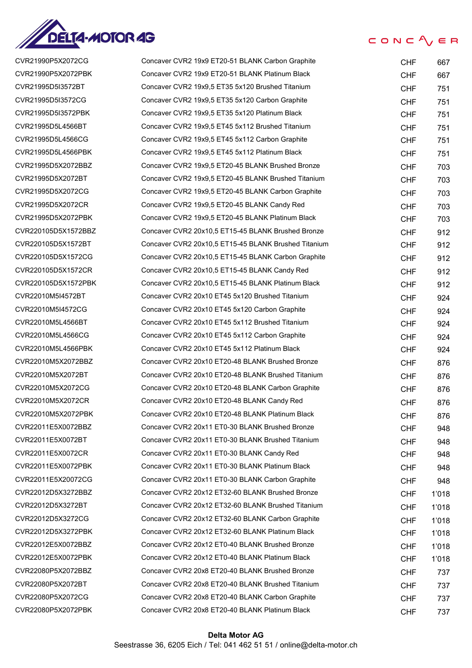

| CVR21990P5X2072CG   | Concaver CVR2 19x9 ET20-51 BLANK Carbon Graphite     | <b>CHF</b> | 667   |
|---------------------|------------------------------------------------------|------------|-------|
| CVR21990P5X2072PBK  | Concaver CVR2 19x9 ET20-51 BLANK Platinum Black      | <b>CHF</b> | 667   |
| CVR21995D5I3572BT   | Concaver CVR2 19x9,5 ET35 5x120 Brushed Titanium     | <b>CHF</b> | 751   |
| CVR21995D5I3572CG   | Concaver CVR2 19x9,5 ET35 5x120 Carbon Graphite      | <b>CHF</b> | 751   |
| CVR21995D5I3572PBK  | Concaver CVR2 19x9,5 ET35 5x120 Platinum Black       | <b>CHF</b> | 751   |
| CVR21995D5L4566BT   | Concaver CVR2 19x9,5 ET45 5x112 Brushed Titanium     | <b>CHF</b> | 751   |
| CVR21995D5L4566CG   | Concaver CVR2 19x9,5 ET45 5x112 Carbon Graphite      | <b>CHF</b> | 751   |
| CVR21995D5L4566PBK  | Concaver CVR2 19x9,5 ET45 5x112 Platinum Black       | <b>CHF</b> | 751   |
| CVR21995D5X2072BBZ  | Concaver CVR2 19x9,5 ET20-45 BLANK Brushed Bronze    | <b>CHF</b> | 703   |
| CVR21995D5X2072BT   | Concaver CVR2 19x9,5 ET20-45 BLANK Brushed Titanium  | <b>CHF</b> | 703   |
| CVR21995D5X2072CG   | Concaver CVR2 19x9,5 ET20-45 BLANK Carbon Graphite   | <b>CHF</b> | 703   |
| CVR21995D5X2072CR   | Concaver CVR2 19x9,5 ET20-45 BLANK Candy Red         | <b>CHF</b> | 703   |
| CVR21995D5X2072PBK  | Concaver CVR2 19x9,5 ET20-45 BLANK Platinum Black    | <b>CHF</b> | 703   |
| CVR220105D5X1572BBZ | Concaver CVR2 20x10,5 ET15-45 BLANK Brushed Bronze   | <b>CHF</b> | 912   |
| CVR220105D5X1572BT  | Concaver CVR2 20x10,5 ET15-45 BLANK Brushed Titanium | <b>CHF</b> | 912   |
| CVR220105D5X1572CG  | Concaver CVR2 20x10,5 ET15-45 BLANK Carbon Graphite  | <b>CHF</b> | 912   |
| CVR220105D5X1572CR  | Concaver CVR2 20x10,5 ET15-45 BLANK Candy Red        | <b>CHF</b> | 912   |
| CVR220105D5X1572PBK | Concaver CVR2 20x10,5 ET15-45 BLANK Platinum Black   | <b>CHF</b> | 912   |
| CVR22010M5I4572BT   | Concaver CVR2 20x10 ET45 5x120 Brushed Titanium      | <b>CHF</b> | 924   |
| CVR22010M5I4572CG   | Concaver CVR2 20x10 ET45 5x120 Carbon Graphite       | <b>CHF</b> | 924   |
| CVR22010M5L4566BT   | Concaver CVR2 20x10 ET45 5x112 Brushed Titanium      | <b>CHF</b> | 924   |
| CVR22010M5L4566CG   | Concaver CVR2 20x10 ET45 5x112 Carbon Graphite       | <b>CHF</b> | 924   |
| CVR22010M5L4566PBK  | Concaver CVR2 20x10 ET45 5x112 Platinum Black        | <b>CHF</b> | 924   |
| CVR22010M5X2072BBZ  | Concaver CVR2 20x10 ET20-48 BLANK Brushed Bronze     | <b>CHF</b> | 876   |
| CVR22010M5X2072BT   | Concaver CVR2 20x10 ET20-48 BLANK Brushed Titanium   | <b>CHF</b> | 876   |
| CVR22010M5X2072CG   | Concaver CVR2 20x10 ET20-48 BLANK Carbon Graphite    | <b>CHF</b> | 876   |
| CVR22010M5X2072CR   | Concaver CVR2 20x10 ET20-48 BLANK Candy Red          | <b>CHF</b> | 876   |
| CVR22010M5X2072PBK  | Concaver CVR2 20x10 ET20-48 BLANK Platinum Black     | <b>CHF</b> | 876   |
| CVR22011E5X0072BBZ  | Concaver CVR2 20x11 ET0-30 BLANK Brushed Bronze      | <b>CHF</b> | 948   |
| CVR22011E5X0072BT   | Concaver CVR2 20x11 ET0-30 BLANK Brushed Titanium    | <b>CHF</b> | 948   |
| CVR22011E5X0072CR   | Concaver CVR2 20x11 ET0-30 BLANK Candy Red           | <b>CHF</b> | 948   |
| CVR22011E5X0072PBK  | Concaver CVR2 20x11 ET0-30 BLANK Platinum Black      | <b>CHF</b> | 948   |
| CVR22011E5X20072CG  | Concaver CVR2 20x11 ET0-30 BLANK Carbon Graphite     | <b>CHF</b> | 948   |
| CVR22012D5X3272BBZ  | Concaver CVR2 20x12 ET32-60 BLANK Brushed Bronze     | <b>CHF</b> | 1'018 |
| CVR22012D5X3272BT   | Concaver CVR2 20x12 ET32-60 BLANK Brushed Titanium   | <b>CHF</b> | 1'018 |
| CVR22012D5X3272CG   | Concaver CVR2 20x12 ET32-60 BLANK Carbon Graphite    | <b>CHF</b> | 1'018 |
| CVR22012D5X3272PBK  | Concaver CVR2 20x12 ET32-60 BLANK Platinum Black     | <b>CHF</b> | 1'018 |
| CVR22012E5X0072BBZ  | Concaver CVR2 20x12 ET0-40 BLANK Brushed Bronze      | <b>CHF</b> | 1'018 |
| CVR22012E5X0072PBK  | Concaver CVR2 20x12 ET0-40 BLANK Platinum Black      | <b>CHF</b> | 1'018 |
| CVR22080P5X2072BBZ  | Concaver CVR2 20x8 ET20-40 BLANK Brushed Bronze      | <b>CHF</b> | 737   |
| CVR22080P5X2072BT   | Concaver CVR2 20x8 ET20-40 BLANK Brushed Titanium    | <b>CHF</b> | 737   |
| CVR22080P5X2072CG   | Concaver CVR2 20x8 ET20-40 BLANK Carbon Graphite     | <b>CHF</b> | 737   |
| CVR22080P5X2072PBK  | Concaver CVR2 20x8 ET20-40 BLANK Platinum Black      | <b>CHF</b> | 737   |
|                     |                                                      |            |       |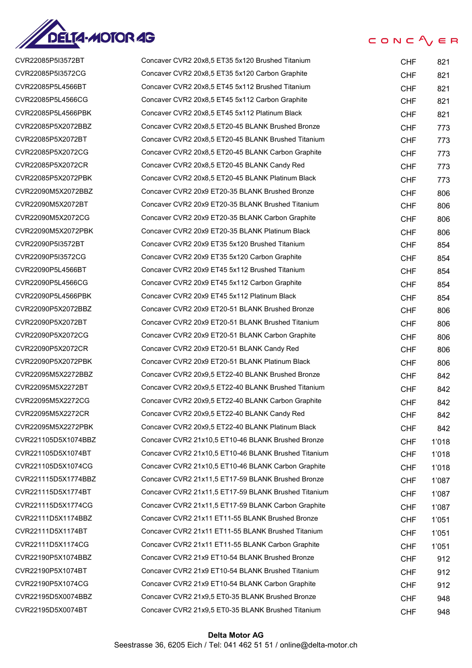

 $CONC<sup>2</sup> <sub>V</sub> \in R$ 

| CVR22085P5I3572BT   | Concaver CVR2 20x8,5 ET35 5x120 Brushed Titanium     | <b>CHF</b> | 821   |
|---------------------|------------------------------------------------------|------------|-------|
| CVR22085P5I3572CG   | Concaver CVR2 20x8,5 ET35 5x120 Carbon Graphite      | <b>CHF</b> | 821   |
| CVR22085P5L4566BT   | Concaver CVR2 20x8,5 ET45 5x112 Brushed Titanium     | <b>CHF</b> | 821   |
| CVR22085P5L4566CG   | Concaver CVR2 20x8,5 ET45 5x112 Carbon Graphite      | <b>CHF</b> | 821   |
| CVR22085P5L4566PBK  | Concaver CVR2 20x8,5 ET45 5x112 Platinum Black       | <b>CHF</b> | 821   |
| CVR22085P5X2072BBZ  | Concaver CVR2 20x8,5 ET20-45 BLANK Brushed Bronze    | <b>CHF</b> | 773   |
| CVR22085P5X2072BT   | Concaver CVR2 20x8,5 ET20-45 BLANK Brushed Titanium  | <b>CHF</b> | 773   |
| CVR22085P5X2072CG   | Concaver CVR2 20x8,5 ET20-45 BLANK Carbon Graphite   | <b>CHF</b> | 773   |
| CVR22085P5X2072CR   | Concaver CVR2 20x8,5 ET20-45 BLANK Candy Red         | <b>CHF</b> | 773   |
| CVR22085P5X2072PBK  | Concaver CVR2 20x8,5 ET20-45 BLANK Platinum Black    | <b>CHF</b> | 773   |
| CVR22090M5X2072BBZ  | Concaver CVR2 20x9 ET20-35 BLANK Brushed Bronze      | <b>CHF</b> | 806   |
| CVR22090M5X2072BT   | Concaver CVR2 20x9 ET20-35 BLANK Brushed Titanium    | <b>CHF</b> | 806   |
| CVR22090M5X2072CG   | Concaver CVR2 20x9 ET20-35 BLANK Carbon Graphite     | <b>CHF</b> | 806   |
| CVR22090M5X2072PBK  | Concaver CVR2 20x9 ET20-35 BLANK Platinum Black      | <b>CHF</b> | 806   |
| CVR22090P5I3572BT   | Concaver CVR2 20x9 ET35 5x120 Brushed Titanium       | <b>CHF</b> | 854   |
| CVR22090P5I3572CG   | Concaver CVR2 20x9 ET35 5x120 Carbon Graphite        | <b>CHF</b> | 854   |
| CVR22090P5L4566BT   | Concaver CVR2 20x9 ET45 5x112 Brushed Titanium       | <b>CHF</b> | 854   |
| CVR22090P5L4566CG   | Concaver CVR2 20x9 ET45 5x112 Carbon Graphite        | <b>CHF</b> | 854   |
| CVR22090P5L4566PBK  | Concaver CVR2 20x9 ET45 5x112 Platinum Black         | <b>CHF</b> | 854   |
| CVR22090P5X2072BBZ  | Concaver CVR2 20x9 ET20-51 BLANK Brushed Bronze      | <b>CHF</b> | 806   |
| CVR22090P5X2072BT   | Concaver CVR2 20x9 ET20-51 BLANK Brushed Titanium    | <b>CHF</b> | 806   |
| CVR22090P5X2072CG   | Concaver CVR2 20x9 ET20-51 BLANK Carbon Graphite     | <b>CHF</b> | 806   |
| CVR22090P5X2072CR   | Concaver CVR2 20x9 ET20-51 BLANK Candy Red           | <b>CHF</b> | 806   |
| CVR22090P5X2072PBK  | Concaver CVR2 20x9 ET20-51 BLANK Platinum Black      | <b>CHF</b> | 806   |
| CVR22095M5X2272BBZ  | Concaver CVR2 20x9,5 ET22-40 BLANK Brushed Bronze    | <b>CHF</b> | 842   |
| CVR22095M5X2272BT   | Concaver CVR2 20x9,5 ET22-40 BLANK Brushed Titanium  | <b>CHF</b> | 842   |
| CVR22095M5X2272CG   | Concaver CVR2 20x9,5 ET22-40 BLANK Carbon Graphite   | <b>CHF</b> | 842   |
| CVR22095M5X2272CR   | Concaver CVR2 20x9,5 ET22-40 BLANK Candy Red         | <b>CHF</b> | 842   |
| CVR22095M5X2272PBK  | Concaver CVR2 20x9,5 ET22-40 BLANK Platinum Black    | <b>CHF</b> | 842   |
| CVR221105D5X1074BBZ | Concaver CVR2 21x10,5 ET10-46 BLANK Brushed Bronze   | <b>CHF</b> | 1'018 |
| CVR221105D5X1074BT  | Concaver CVR2 21x10,5 ET10-46 BLANK Brushed Titanium | <b>CHF</b> | 1'018 |
| CVR221105D5X1074CG  | Concaver CVR2 21x10,5 ET10-46 BLANK Carbon Graphite  | <b>CHF</b> | 1'018 |
| CVR221115D5X1774BBZ | Concaver CVR2 21x11,5 ET17-59 BLANK Brushed Bronze   | <b>CHF</b> | 1'087 |
| CVR221115D5X1774BT  | Concaver CVR2 21x11,5 ET17-59 BLANK Brushed Titanium | <b>CHF</b> | 1'087 |
| CVR221115D5X1774CG  | Concaver CVR2 21x11,5 ET17-59 BLANK Carbon Graphite  | <b>CHF</b> | 1'087 |
| CVR22111D5X1174BBZ  | Concaver CVR2 21x11 ET11-55 BLANK Brushed Bronze     | <b>CHF</b> | 1'051 |
| CVR22111D5X1174BT   | Concaver CVR2 21x11 ET11-55 BLANK Brushed Titanium   | <b>CHF</b> | 1'051 |
| CVR22111D5X1174CG   | Concaver CVR2 21x11 ET11-55 BLANK Carbon Graphite    | <b>CHF</b> | 1'051 |
| CVR22190P5X1074BBZ  | Concaver CVR2 21x9 ET10-54 BLANK Brushed Bronze      | <b>CHF</b> | 912   |
| CVR22190P5X1074BT   | Concaver CVR2 21x9 ET10-54 BLANK Brushed Titanium    | <b>CHF</b> | 912   |
| CVR22190P5X1074CG   | Concaver CVR2 21x9 ET10-54 BLANK Carbon Graphite     | <b>CHF</b> | 912   |
| CVR22195D5X0074BBZ  | Concaver CVR2 21x9,5 ET0-35 BLANK Brushed Bronze     | <b>CHF</b> | 948   |
| CVR22195D5X0074BT   | Concaver CVR2 21x9,5 ET0-35 BLANK Brushed Titanium   | <b>CHF</b> | 948   |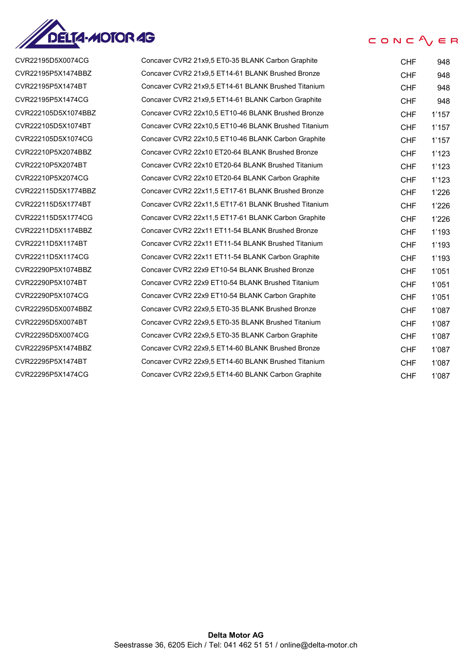

CVR22195D5X0074CG CVR22195P5X1474BBZ CVR22195P5X1474BT CVR22195P5X1474CG CVR222105D5X1074BBZ CVR222105D5X1074BT CVR222105D5X1074CG CVR22210P5X2074BBZ CVR22210P5X2074BT CVR22210P5X2074CG CVR222115D5X1774BBZ CVR222115D5X1774BT CVR222115D5X1774CG CVR22211D5X1174BBZ CVR22211D5X1174BT CVR22211D5X1174CG CVR22290P5X1074BBZ CVR22290P5X1074BT CVR22290P5X1074CG CVR22295D5X0074BBZ CVR22295D5X0074BT CVR22295D5X0074CG CVR22295P5X1474BBZ CVR22295P5X1474BT CVR22295P5X1474CG

## CONC $\Lambda$   $\in$  R

| Concaver CVR2 21x9,5 ET0-35 BLANK Carbon Graphite    | <b>CHF</b> | 948   |
|------------------------------------------------------|------------|-------|
| Concaver CVR2 21x9,5 ET14-61 BLANK Brushed Bronze    | <b>CHF</b> | 948   |
| Concaver CVR2 21x9,5 ET14-61 BLANK Brushed Titanium  | CHF        | 948   |
| Concaver CVR2 21x9,5 ET14-61 BLANK Carbon Graphite   | <b>CHF</b> | 948   |
| Concaver CVR2 22x10.5 ET10-46 BLANK Brushed Bronze   | <b>CHF</b> | 1'157 |
| Concaver CVR2 22x10.5 ET10-46 BLANK Brushed Titanium | <b>CHF</b> | 1'157 |
| Concaver CVR2 22x10,5 ET10-46 BLANK Carbon Graphite  | <b>CHF</b> | 1'157 |
| Concaver CVR2 22x10 ET20-64 BLANK Brushed Bronze     | <b>CHF</b> | 1'123 |
| Concaver CVR2 22x10 ET20-64 BLANK Brushed Titanium   | <b>CHF</b> | 1'123 |
| Concaver CVR2 22x10 ET20-64 BLANK Carbon Graphite    | <b>CHF</b> | 1'123 |
| Concaver CVR2 22x11,5 ET17-61 BLANK Brushed Bronze   | <b>CHF</b> | 1'226 |
| Concaver CVR2 22x11,5 ET17-61 BLANK Brushed Titanium | <b>CHF</b> | 1'226 |
| Concaver CVR2 22x11,5 ET17-61 BLANK Carbon Graphite  | <b>CHF</b> | 1'226 |
| Concaver CVR2 22x11 ET11-54 BLANK Brushed Bronze     | <b>CHF</b> | 1'193 |
| Concaver CVR2 22x11 ET11-54 BLANK Brushed Titanium   | <b>CHF</b> | 1'193 |
| Concaver CVR2 22x11 ET11-54 BLANK Carbon Graphite    | <b>CHF</b> | 1'193 |
| Concaver CVR2 22x9 ET10-54 BLANK Brushed Bronze      | <b>CHF</b> | 1'051 |
| Concaver CVR2 22x9 ET10-54 BLANK Brushed Titanium    | <b>CHF</b> | 1'051 |
| Concaver CVR2 22x9 ET10-54 BLANK Carbon Graphite     | <b>CHF</b> | 1'051 |
| Concaver CVR2 22x9,5 ET0-35 BLANK Brushed Bronze     | <b>CHF</b> | 1'087 |
| Concaver CVR2 22x9,5 ET0-35 BLANK Brushed Titanium   | <b>CHF</b> | 1'087 |
| Concaver CVR2 22x9,5 ET0-35 BLANK Carbon Graphite    | <b>CHF</b> | 1'087 |
| Concaver CVR2 22x9,5 ET14-60 BLANK Brushed Bronze    | CHF        | 1'087 |
| Concaver CVR2 22x9.5 ET14-60 BLANK Brushed Titanium  | <b>CHF</b> | 1'087 |
| Concaver CVR2 22x9,5 ET14-60 BLANK Carbon Graphite   | <b>CHF</b> | 1'087 |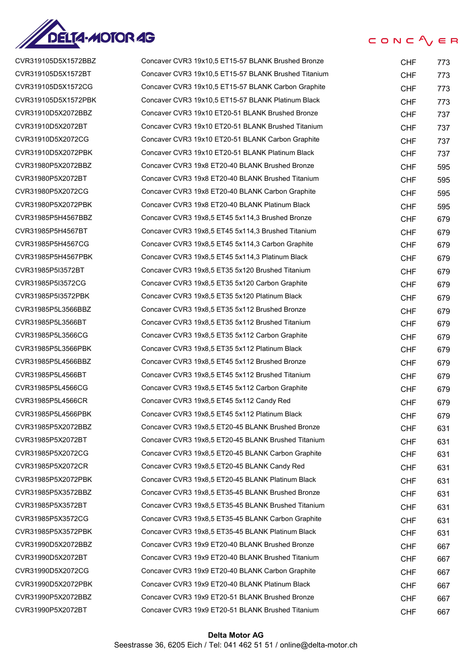

| CVR319105D5X1572BBZ | Concaver CVR3 19x10,5 ET15-57 BLANK Brushed Bronze   | <b>CHF</b> | 773 |
|---------------------|------------------------------------------------------|------------|-----|
| CVR319105D5X1572BT  | Concaver CVR3 19x10,5 ET15-57 BLANK Brushed Titanium | <b>CHF</b> | 773 |
| CVR319105D5X1572CG  | Concaver CVR3 19x10,5 ET15-57 BLANK Carbon Graphite  | <b>CHF</b> | 773 |
| CVR319105D5X1572PBK | Concaver CVR3 19x10,5 ET15-57 BLANK Platinum Black   | <b>CHF</b> | 773 |
| CVR31910D5X2072BBZ  | Concaver CVR3 19x10 ET20-51 BLANK Brushed Bronze     | <b>CHF</b> | 737 |
| CVR31910D5X2072BT   | Concaver CVR3 19x10 ET20-51 BLANK Brushed Titanium   | <b>CHF</b> | 737 |
| CVR31910D5X2072CG   | Concaver CVR3 19x10 ET20-51 BLANK Carbon Graphite    | <b>CHF</b> | 737 |
| CVR31910D5X2072PBK  | Concaver CVR3 19x10 ET20-51 BLANK Platinum Black     | <b>CHF</b> | 737 |
| CVR31980P5X2072BBZ  | Concaver CVR3 19x8 ET20-40 BLANK Brushed Bronze      | <b>CHF</b> | 595 |
| CVR31980P5X2072BT   | Concaver CVR3 19x8 ET20-40 BLANK Brushed Titanium    | <b>CHF</b> | 595 |
| CVR31980P5X2072CG   | Concaver CVR3 19x8 ET20-40 BLANK Carbon Graphite     | <b>CHF</b> | 595 |
| CVR31980P5X2072PBK  | Concaver CVR3 19x8 ET20-40 BLANK Platinum Black      | <b>CHF</b> | 595 |
| CVR31985P5H4567BBZ  | Concaver CVR3 19x8,5 ET45 5x114,3 Brushed Bronze     | <b>CHF</b> | 679 |
| CVR31985P5H4567BT   | Concaver CVR3 19x8,5 ET45 5x114,3 Brushed Titanium   | <b>CHF</b> | 679 |
| CVR31985P5H4567CG   | Concaver CVR3 19x8,5 ET45 5x114,3 Carbon Graphite    | <b>CHF</b> | 679 |
| CVR31985P5H4567PBK  | Concaver CVR3 19x8,5 ET45 5x114,3 Platinum Black     | <b>CHF</b> | 679 |
| CVR31985P5I3572BT   | Concaver CVR3 19x8,5 ET35 5x120 Brushed Titanium     | <b>CHF</b> | 679 |
| CVR31985P5I3572CG   | Concaver CVR3 19x8,5 ET35 5x120 Carbon Graphite      | <b>CHF</b> | 679 |
| CVR31985P5I3572PBK  | Concaver CVR3 19x8,5 ET35 5x120 Platinum Black       | <b>CHF</b> | 679 |
| CVR31985P5L3566BBZ  | Concaver CVR3 19x8,5 ET35 5x112 Brushed Bronze       | <b>CHF</b> | 679 |
| CVR31985P5L3566BT   | Concaver CVR3 19x8,5 ET35 5x112 Brushed Titanium     | <b>CHF</b> | 679 |
| CVR31985P5L3566CG   | Concaver CVR3 19x8,5 ET35 5x112 Carbon Graphite      | <b>CHF</b> | 679 |
| CVR31985P5L3566PBK  | Concaver CVR3 19x8,5 ET35 5x112 Platinum Black       | <b>CHF</b> | 679 |
| CVR31985P5L4566BBZ  | Concaver CVR3 19x8,5 ET45 5x112 Brushed Bronze       | <b>CHF</b> | 679 |
| CVR31985P5L4566BT   | Concaver CVR3 19x8,5 ET45 5x112 Brushed Titanium     | <b>CHF</b> | 679 |
| CVR31985P5L4566CG   | Concaver CVR3 19x8,5 ET45 5x112 Carbon Graphite      | <b>CHF</b> | 679 |
| CVR31985P5L4566CR   | Concaver CVR3 19x8,5 ET45 5x112 Candy Red            | <b>CHF</b> | 679 |
| CVR31985P5L4566PBK  | Concaver CVR3 19x8,5 ET45 5x112 Platinum Black       | <b>CHF</b> | 679 |
| CVR31985P5X2072BBZ  | Concaver CVR3 19x8,5 ET20-45 BLANK Brushed Bronze    | <b>CHF</b> | 631 |
| CVR31985P5X2072BT   | Concaver CVR3 19x8,5 ET20-45 BLANK Brushed Titanium  | <b>CHF</b> | 631 |
| CVR31985P5X2072CG   | Concaver CVR3 19x8,5 ET20-45 BLANK Carbon Graphite   | <b>CHF</b> | 631 |
| CVR31985P5X2072CR   | Concaver CVR3 19x8,5 ET20-45 BLANK Candy Red         | <b>CHF</b> | 631 |
| CVR31985P5X2072PBK  | Concaver CVR3 19x8,5 ET20-45 BLANK Platinum Black    | <b>CHF</b> | 631 |
| CVR31985P5X3572BBZ  | Concaver CVR3 19x8,5 ET35-45 BLANK Brushed Bronze    | <b>CHF</b> | 631 |
| CVR31985P5X3572BT   | Concaver CVR3 19x8,5 ET35-45 BLANK Brushed Titanium  | <b>CHF</b> | 631 |
| CVR31985P5X3572CG   | Concaver CVR3 19x8,5 ET35-45 BLANK Carbon Graphite   | <b>CHF</b> | 631 |
| CVR31985P5X3572PBK  | Concaver CVR3 19x8,5 ET35-45 BLANK Platinum Black    | <b>CHF</b> | 631 |
| CVR31990D5X2072BBZ  | Concaver CVR3 19x9 ET20-40 BLANK Brushed Bronze      | <b>CHF</b> | 667 |
| CVR31990D5X2072BT   | Concaver CVR3 19x9 ET20-40 BLANK Brushed Titanium    | <b>CHF</b> | 667 |
| CVR31990D5X2072CG   | Concaver CVR3 19x9 ET20-40 BLANK Carbon Graphite     | <b>CHF</b> | 667 |
| CVR31990D5X2072PBK  | Concaver CVR3 19x9 ET20-40 BLANK Platinum Black      | <b>CHF</b> | 667 |
| CVR31990P5X2072BBZ  | Concaver CVR3 19x9 ET20-51 BLANK Brushed Bronze      | <b>CHF</b> | 667 |
| CVR31990P5X2072BT   | Concaver CVR3 19x9 ET20-51 BLANK Brushed Titanium    | <b>CHF</b> | 667 |
|                     |                                                      |            |     |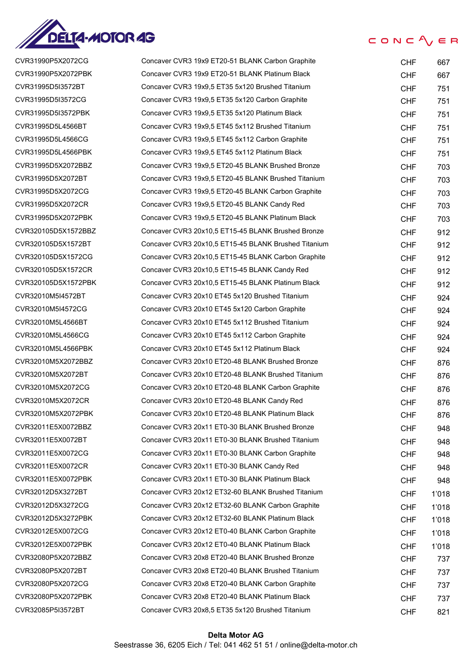

| CVR31990P5X2072CG   |
|---------------------|
| CVR31990P5X2072PBK  |
| CVR31995D5I3572BT   |
| CVR31995D5I3572CG   |
| CVR31995D5I3572PBK  |
| CVR31995D5L4566BT   |
| CVR31995D5L4566CG   |
| CVR31995D5L4566PBK  |
| CVR31995D5X2072BBZ  |
| CVR31995D5X2072BT   |
| CVR31995D5X2072CG   |
| CVR31995D5X2072CR   |
| CVR31995D5X2072PBK  |
| CVR320105D5X1572BBZ |
| CVR320105D5X1572BT  |
| CVR320105D5X1572CG  |
| CVR320105D5X1572CR  |
| CVR320105D5X1572PBK |
| CVR32010M5I4572BT   |
| CVR32010M5I4572CG   |
| CVR32010M5L4566BT   |
| CVR32010M5L4566CG   |
| CVR32010M5L4566PBK  |
| CVR32010M5X2072BBZ  |
| CVR32010M5X2072BT   |
| CVR32010M5X2072CG   |
| CVR32010M5X2072CR   |
| CVR32010M5X2072PBK  |
| CVR32011E5X0072BBZ  |
| CVR32011E5X0072BT   |
| CVR32011E5X0072CG   |
| CVR32011E5X0072CR   |
| CVR32011E5X0072PBK  |
| CVR32012D5X3272BT   |
| CVR32012D5X3272CG   |
| CVR32012D5X3272PBK  |
| CVR32012E5X0072CG   |
| CVR32012E5X0072PBK  |
| CVR32080P5X2072BBZ  |
| CVR32080P5X2072BT   |
| CVR32080P5X2072CG   |
| CVR32080P5X2072PBK  |
| CVR32085P5I3572BT   |

| CVR31990P5X2072CG   | Concaver CVR3 19x9 ET20-51 BLANK Carbon Graphite     | <b>CHF</b> | 667   |
|---------------------|------------------------------------------------------|------------|-------|
| CVR31990P5X2072PBK  | Concaver CVR3 19x9 ET20-51 BLANK Platinum Black      | <b>CHF</b> | 667   |
| CVR31995D5I3572BT   | Concaver CVR3 19x9,5 ET35 5x120 Brushed Titanium     | <b>CHF</b> | 751   |
| CVR31995D5I3572CG   | Concaver CVR3 19x9,5 ET35 5x120 Carbon Graphite      | <b>CHF</b> | 751   |
| CVR31995D5I3572PBK  | Concaver CVR3 19x9,5 ET35 5x120 Platinum Black       | <b>CHF</b> | 751   |
| CVR31995D5L4566BT   | Concaver CVR3 19x9,5 ET45 5x112 Brushed Titanium     | <b>CHF</b> | 751   |
| CVR31995D5L4566CG   | Concaver CVR3 19x9,5 ET45 5x112 Carbon Graphite      | <b>CHF</b> | 751   |
| CVR31995D5L4566PBK  | Concaver CVR3 19x9,5 ET45 5x112 Platinum Black       | <b>CHF</b> | 751   |
| CVR31995D5X2072BBZ  | Concaver CVR3 19x9,5 ET20-45 BLANK Brushed Bronze    | <b>CHF</b> | 703   |
| CVR31995D5X2072BT   | Concaver CVR3 19x9,5 ET20-45 BLANK Brushed Titanium  | <b>CHF</b> | 703   |
| CVR31995D5X2072CG   | Concaver CVR3 19x9,5 ET20-45 BLANK Carbon Graphite   | <b>CHF</b> | 703   |
| CVR31995D5X2072CR   | Concaver CVR3 19x9,5 ET20-45 BLANK Candy Red         | <b>CHF</b> | 703   |
| CVR31995D5X2072PBK  | Concaver CVR3 19x9,5 ET20-45 BLANK Platinum Black    | <b>CHF</b> | 703   |
| CVR320105D5X1572BBZ | Concaver CVR3 20x10,5 ET15-45 BLANK Brushed Bronze   | <b>CHF</b> | 912   |
| CVR320105D5X1572BT  | Concaver CVR3 20x10,5 ET15-45 BLANK Brushed Titanium | <b>CHF</b> | 912   |
| CVR320105D5X1572CG  | Concaver CVR3 20x10,5 ET15-45 BLANK Carbon Graphite  | <b>CHF</b> | 912   |
| CVR320105D5X1572CR  | Concaver CVR3 20x10,5 ET15-45 BLANK Candy Red        | <b>CHF</b> | 912   |
| CVR320105D5X1572PBK | Concaver CVR3 20x10,5 ET15-45 BLANK Platinum Black   | <b>CHF</b> | 912   |
| CVR32010M5I4572BT   | Concaver CVR3 20x10 ET45 5x120 Brushed Titanium      | <b>CHF</b> | 924   |
| CVR32010M5I4572CG   | Concaver CVR3 20x10 ET45 5x120 Carbon Graphite       | <b>CHF</b> | 924   |
| CVR32010M5L4566BT   | Concaver CVR3 20x10 ET45 5x112 Brushed Titanium      | <b>CHF</b> | 924   |
| CVR32010M5L4566CG   | Concaver CVR3 20x10 ET45 5x112 Carbon Graphite       | <b>CHF</b> | 924   |
| CVR32010M5L4566PBK  | Concaver CVR3 20x10 ET45 5x112 Platinum Black        | <b>CHF</b> | 924   |
| CVR32010M5X2072BBZ  | Concaver CVR3 20x10 ET20-48 BLANK Brushed Bronze     | <b>CHF</b> | 876   |
| CVR32010M5X2072BT   | Concaver CVR3 20x10 ET20-48 BLANK Brushed Titanium   | <b>CHF</b> | 876   |
| CVR32010M5X2072CG   | Concaver CVR3 20x10 ET20-48 BLANK Carbon Graphite    | <b>CHF</b> | 876   |
| CVR32010M5X2072CR   | Concaver CVR3 20x10 ET20-48 BLANK Candy Red          | <b>CHF</b> | 876   |
| CVR32010M5X2072PBK  | Concaver CVR3 20x10 ET20-48 BLANK Platinum Black     | <b>CHF</b> | 876   |
| CVR32011E5X0072BBZ  | Concaver CVR3 20x11 ET0-30 BLANK Brushed Bronze      | <b>CHF</b> | 948   |
| CVR32011E5X0072BT   | Concaver CVR3 20x11 ET0-30 BLANK Brushed Titanium    | <b>CHF</b> | 948   |
| CVR32011E5X0072CG   | Concaver CVR3 20x11 ET0-30 BLANK Carbon Graphite     | <b>CHF</b> | 948   |
| CVR32011E5X0072CR   | Concaver CVR3 20x11 ET0-30 BLANK Candy Red           | <b>CHF</b> | 948   |
| CVR32011E5X0072PBK  | Concaver CVR3 20x11 ET0-30 BLANK Platinum Black      | <b>CHF</b> | 948   |
| CVR32012D5X3272BT   | Concaver CVR3 20x12 ET32-60 BLANK Brushed Titanium   | <b>CHF</b> | 1'018 |
| CVR32012D5X3272CG   | Concaver CVR3 20x12 ET32-60 BLANK Carbon Graphite    | <b>CHF</b> | 1'018 |
| CVR32012D5X3272PBK  | Concaver CVR3 20x12 ET32-60 BLANK Platinum Black     | <b>CHF</b> | 1'018 |
| CVR32012E5X0072CG   | Concaver CVR3 20x12 ET0-40 BLANK Carbon Graphite     | <b>CHF</b> | 1'018 |
| CVR32012E5X0072PBK  | Concaver CVR3 20x12 ET0-40 BLANK Platinum Black      | <b>CHF</b> | 1'018 |
| CVR32080P5X2072BBZ  | Concaver CVR3 20x8 ET20-40 BLANK Brushed Bronze      | <b>CHF</b> | 737   |
| CVR32080P5X2072BT   | Concaver CVR3 20x8 ET20-40 BLANK Brushed Titanium    | <b>CHF</b> | 737   |
| CVR32080P5X2072CG   | Concaver CVR3 20x8 ET20-40 BLANK Carbon Graphite     | <b>CHF</b> | 737   |
| CVR32080P5X2072PBK  | Concaver CVR3 20x8 ET20-40 BLANK Platinum Black      | <b>CHF</b> | 737   |
| CVR32085P5I3572BT   | Concaver CVR3 20x8,5 ET35 5x120 Brushed Titanium     | <b>CHF</b> | 821   |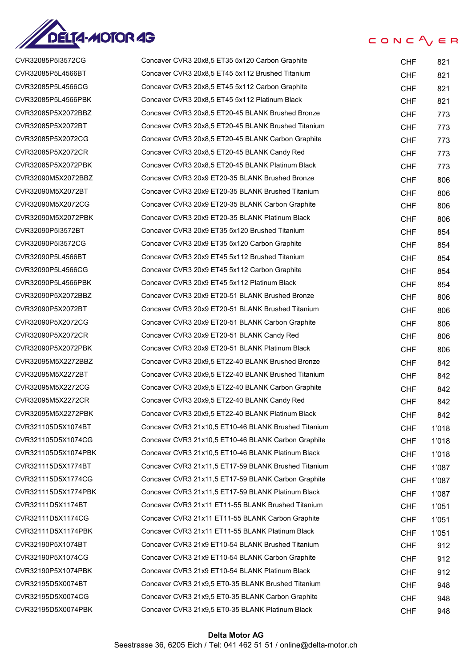

CVR32085P5I3572CG CVR32085P5L4566BT CVR32085P5L4566CG CVR32085P5L4566PBK CVR32085P5X2072BBZ CVR32085P5X2072BT CVR32085P5X2072CG CVR32085P5X2072CR CVR32085P5X2072PBK CVR32090M5X2072BBZ CVR32090M5X2072BT CVR32090M5X2072CG CVR32090M5X2072PBK CVR32090P5I3572BT CVR32090P5I3572CG CVR32090P5L4566BT CVR32090P5L4566CG CVR32090P5L4566PBK CVR32090P5X2072BBZ CVR32090P5X2072BT CVR32090P5X2072CG CVR32090P5X2072CR CVR32090P5X2072PBK CVR32095M5X2272BBZ CVR32095M5X2272BT CVR32095M5X2272CG CVR32095M5X2272CR CVR32095M5X2272PBK CVR321105D5X1074BT CVR321105D5X1074CG CVR321105D5X1074PBK CVR321115D5X1774BT CVR321115D5X1774CG CVR321115D5X1774PBK CVR32111D5X1174BT CVR32111D5X1174CG CVR32111D5X1174PBK CVR32190P5X1074BT CVR32190P5X1074CG CVR32190P5X1074PBK CVR32195D5X0074BT CVR32195D5X0074CG CVR32195D5X0074PBK

#### $CONC$ <sub>/ $E$ </sub> $R$

| Concaver CVR3 20x8,5 ET35 5x120 Carbon Graphite      | <b>CHF</b> | 821   |
|------------------------------------------------------|------------|-------|
| Concaver CVR3 20x8,5 ET45 5x112 Brushed Titanium     | <b>CHF</b> | 821   |
| Concaver CVR3 20x8,5 ET45 5x112 Carbon Graphite      | CHF.       | 821   |
| Concaver CVR3 20x8,5 ET45 5x112 Platinum Black       | CHF        | 821   |
| Concaver CVR3 20x8.5 ET20-45 BLANK Brushed Bronze    | <b>CHF</b> | 773   |
| Concaver CVR3 20x8,5 ET20-45 BLANK Brushed Titanium  | CHF        | 773   |
| Concaver CVR3 20x8,5 ET20-45 BLANK Carbon Graphite   | CHF        | 773   |
| Concaver CVR3 20x8,5 ET20-45 BLANK Candy Red         | CHF        | 773   |
| Concaver CVR3 20x8,5 ET20-45 BLANK Platinum Black    | CHF        | 773   |
| Concaver CVR3 20x9 ET20-35 BLANK Brushed Bronze      | CHF        | 806   |
| Concaver CVR3 20x9 ET20-35 BLANK Brushed Titanium    | CHF        | 806   |
| Concaver CVR3 20x9 ET20-35 BLANK Carbon Graphite     | CHF        | 806   |
| Concaver CVR3 20x9 ET20-35 BLANK Platinum Black      | <b>CHF</b> | 806   |
| Concaver CVR3 20x9 ET35 5x120 Brushed Titanium       | CHF        | 854   |
| Concaver CVR3 20x9 ET35 5x120 Carbon Graphite        | CHF        | 854   |
| Concaver CVR3 20x9 ET45 5x112 Brushed Titanium       | CHF        | 854   |
| Concaver CVR3 20x9 ET45 5x112 Carbon Graphite        | CHF        | 854   |
| Concaver CVR3 20x9 ET45 5x112 Platinum Black         | CHF        | 854   |
| Concaver CVR3 20x9 ET20-51 BLANK Brushed Bronze      | CHF        | 806   |
| Concaver CVR3 20x9 ET20-51 BLANK Brushed Titanium    | CHF        | 806   |
| Concaver CVR3 20x9 ET20-51 BLANK Carbon Graphite     | CHF        | 806   |
| Concaver CVR3 20x9 ET20-51 BLANK Candy Red           | <b>CHF</b> | 806   |
| Concaver CVR3 20x9 ET20-51 BLANK Platinum Black      | <b>CHF</b> | 806   |
| Concaver CVR3 20x9.5 ET22-40 BLANK Brushed Bronze    | CHF        | 842   |
| Concaver CVR3 20x9,5 ET22-40 BLANK Brushed Titanium  | CHF        | 842   |
| Concaver CVR3 20x9,5 ET22-40 BLANK Carbon Graphite   | <b>CHF</b> | 842   |
| Concaver CVR3 20x9,5 ET22-40 BLANK Candy Red         | <b>CHF</b> | 842   |
| Concaver CVR3 20x9,5 ET22-40 BLANK Platinum Black    | <b>CHF</b> | 842   |
| Concaver CVR3 21x10,5 ET10-46 BLANK Brushed Titanium | <b>CHF</b> | 1'018 |
| Concaver CVR3 21x10,5 ET10-46 BLANK Carbon Graphite  | <b>CHF</b> | 1'018 |
| Concaver CVR3 21x10,5 ET10-46 BLANK Platinum Black   | <b>CHF</b> | 1'018 |
| Concaver CVR3 21x11,5 ET17-59 BLANK Brushed Titanium | <b>CHF</b> | 1'087 |
| Concaver CVR3 21x11,5 ET17-59 BLANK Carbon Graphite  | <b>CHF</b> | 1'087 |
| Concaver CVR3 21x11,5 ET17-59 BLANK Platinum Black   | <b>CHF</b> | 1'087 |
| Concaver CVR3 21x11 ET11-55 BLANK Brushed Titanium   | <b>CHF</b> | 1'051 |
| Concaver CVR3 21x11 ET11-55 BLANK Carbon Graphite    | <b>CHF</b> | 1'051 |
| Concaver CVR3 21x11 ET11-55 BLANK Platinum Black     | <b>CHF</b> | 1'051 |
| Concaver CVR3 21x9 ET10-54 BLANK Brushed Titanium    | <b>CHF</b> | 912   |
| Concaver CVR3 21x9 ET10-54 BLANK Carbon Graphite     | <b>CHF</b> | 912   |
| Concaver CVR3 21x9 ET10-54 BLANK Platinum Black      | <b>CHF</b> | 912   |
| Concaver CVR3 21x9,5 ET0-35 BLANK Brushed Titanium   | <b>CHF</b> | 948   |
| Concaver CVR3 21x9,5 ET0-35 BLANK Carbon Graphite    | <b>CHF</b> | 948   |
| Concaver CVR3 21x9,5 ET0-35 BLANK Platinum Black     | <b>CHF</b> | 948   |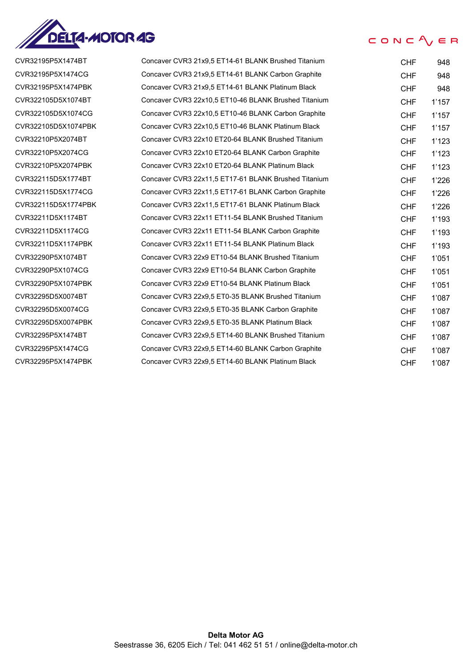

## CVR32195P5X1474BT CVR32195P5X1474CG CVR32195P5X1474PBK CVR322105D5X1074BT CVR322105D5X1074CG CVR322105D5X1074PBK CVR32210P5X2074BT CVR32210P5X2074CG CVR32210P5X2074PBK CVR322115D5X1774BT CVR322115D5X1774CG CVR322115D5X1774PBK CVR32211D5X1174BT CVR32211D5X1174CG CVR32211D5X1174PBK CVR32290P5X1074BT CVR32290P5X1074CG CVR32290P5X1074PBK CVR32295D5X0074BT CVR32295D5X0074CG CVR32295D5X0074PBK CVR32295P5X1474BT CVR32295P5X1474CG

| CVR32195P5X1474BT   | Concaver CVR3 21x9,5 ET14-61 BLANK Brushed Titanium  | <b>CHF</b> | 948   |
|---------------------|------------------------------------------------------|------------|-------|
| CVR32195P5X1474CG   | Concaver CVR3 21x9,5 ET14-61 BLANK Carbon Graphite   | <b>CHF</b> | 948   |
| CVR32195P5X1474PBK  | Concaver CVR3 21x9,5 ET14-61 BLANK Platinum Black    | <b>CHF</b> | 948   |
| CVR322105D5X1074BT  | Concaver CVR3 22x10,5 ET10-46 BLANK Brushed Titanium | <b>CHF</b> | 1'157 |
| CVR322105D5X1074CG  | Concaver CVR3 22x10,5 ET10-46 BLANK Carbon Graphite  | <b>CHF</b> | 1'157 |
| CVR322105D5X1074PBK | Concaver CVR3 22x10,5 ET10-46 BLANK Platinum Black   | <b>CHF</b> | 1'157 |
| CVR32210P5X2074BT   | Concaver CVR3 22x10 ET20-64 BLANK Brushed Titanium   | <b>CHF</b> | 1'123 |
| CVR32210P5X2074CG   | Concaver CVR3 22x10 ET20-64 BLANK Carbon Graphite    | <b>CHF</b> | 1'123 |
| CVR32210P5X2074PBK  | Concaver CVR3 22x10 ET20-64 BLANK Platinum Black     | <b>CHF</b> | 1'123 |
| CVR322115D5X1774BT  | Concaver CVR3 22x11,5 ET17-61 BLANK Brushed Titanium | <b>CHF</b> | 1'226 |
| CVR322115D5X1774CG  | Concaver CVR3 22x11,5 ET17-61 BLANK Carbon Graphite  | <b>CHF</b> | 1'226 |
| CVR322115D5X1774PBK | Concaver CVR3 22x11,5 ET17-61 BLANK Platinum Black   | <b>CHF</b> | 1'226 |
| CVR32211D5X1174BT   | Concaver CVR3 22x11 ET11-54 BLANK Brushed Titanium   | <b>CHF</b> | 1'193 |
| CVR32211D5X1174CG   | Concaver CVR3 22x11 ET11-54 BLANK Carbon Graphite    | <b>CHF</b> | 1'193 |
| CVR32211D5X1174PBK  | Concaver CVR3 22x11 ET11-54 BLANK Platinum Black     | <b>CHF</b> | 1'193 |
| CVR32290P5X1074BT   | Concaver CVR3 22x9 ET10-54 BLANK Brushed Titanium    | <b>CHF</b> | 1'051 |
| CVR32290P5X1074CG   | Concaver CVR3 22x9 ET10-54 BLANK Carbon Graphite     | <b>CHF</b> | 1'051 |
| CVR32290P5X1074PBK  | Concaver CVR3 22x9 ET10-54 BLANK Platinum Black      | <b>CHF</b> | 1'051 |
| CVR32295D5X0074BT   | Concaver CVR3 22x9,5 ET0-35 BLANK Brushed Titanium   | <b>CHF</b> | 1'087 |
| CVR32295D5X0074CG   | Concaver CVR3 22x9,5 ET0-35 BLANK Carbon Graphite    | <b>CHF</b> | 1'087 |
| CVR32295D5X0074PBK  | Concaver CVR3 22x9.5 ET0-35 BLANK Platinum Black     | <b>CHF</b> | 1'087 |
| CVR32295P5X1474BT   | Concaver CVR3 22x9,5 ET14-60 BLANK Brushed Titanium  | <b>CHF</b> | 1'087 |
| CVR32295P5X1474CG   | Concaver CVR3 22x9,5 ET14-60 BLANK Carbon Graphite   | <b>CHF</b> | 1'087 |
| CVR32295P5X1474PBK  | Concaver CVR3 22x9,5 ET14-60 BLANK Platinum Black    | <b>CHF</b> | 1'087 |

CONC $\Lambda$   $\in$  R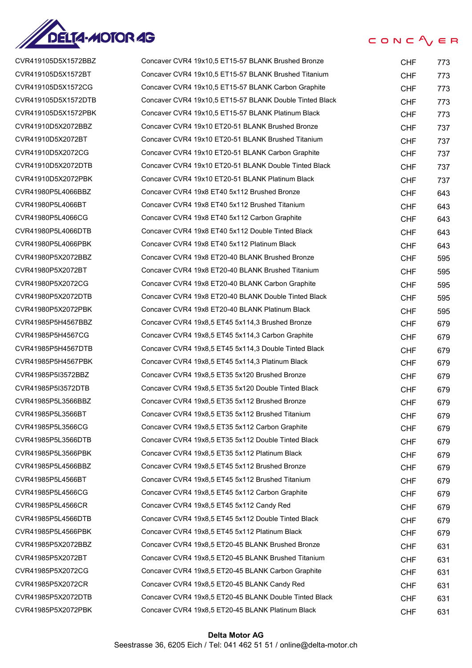

| CVR419105D5X1572BBZ |
|---------------------|
| CVR419105D5X1572BT  |
| CVR419105D5X1572CG  |
| CVR419105D5X1572DTB |
| CVR419105D5X1572PBK |
| CVR41910D5X2072BBZ  |
| CVR41910D5X2072BT   |
| CVR41910D5X2072CG   |
| CVR41910D5X2072DTB  |
| CVR41910D5X2072PBK  |
| CVR41980P5L4066BBZ  |
| CVR41980P5L4066BT   |
| CVR41980P5L4066CG   |
| CVR41980P5L4066DTB  |
| CVR41980P5L4066PBK  |
| CVR41980P5X2072BBZ  |
| CVR41980P5X2072BT   |
| CVR41980P5X2072CG   |
| CVR41980P5X2072DTB  |
| CVR41980P5X2072PBK  |
| CVR41985P5H4567BBZ  |
| CVR41985P5H4567CG   |
| CVR41985P5H4567DTB  |
| CVR41985P5H4567PBK  |
| CVR41985P5I3572BBZ  |
| CVR41985P5I3572DTB  |
| CVR41985P5L3566BBZ  |
| :VR41985P5L3566BT   |
| CVR41985P5L3566CG   |
| CVR41985P5L3566DTB  |
| CVR41985P5L3566PBK  |
| CVR41985P5L4566BBZ  |
| CVR41985P5L4566BT   |
| CVR41985P5L4566CG   |
| CVR41985P5L4566CR   |
| CVR41985P5L4566DTB  |
| CVR41985P5L4566PBK  |
| CVR41985P5X2072BBZ  |
| CVR41985P5X2072BT   |
| CVR41985P5X2072CG   |
| CVR41985P5X2072CR   |
| CVR41985P5X2072DTB  |
| CVR41985P5X2072PBK  |

| CVR419105D5X1572BBZ | Concaver CVR4 19x10,5 ET15-57 BLANK Brushed Bronze      | <b>CHF</b> | 773 |
|---------------------|---------------------------------------------------------|------------|-----|
| CVR419105D5X1572BT  | Concaver CVR4 19x10,5 ET15-57 BLANK Brushed Titanium    | <b>CHF</b> | 773 |
| CVR419105D5X1572CG  | Concaver CVR4 19x10,5 ET15-57 BLANK Carbon Graphite     | <b>CHF</b> | 773 |
| CVR419105D5X1572DTB | Concaver CVR4 19x10.5 ET15-57 BLANK Double Tinted Black | <b>CHF</b> | 773 |
| CVR419105D5X1572PBK | Concaver CVR4 19x10,5 ET15-57 BLANK Platinum Black      | <b>CHF</b> | 773 |
| CVR41910D5X2072BBZ  | Concaver CVR4 19x10 ET20-51 BLANK Brushed Bronze        | <b>CHF</b> | 737 |
| CVR41910D5X2072BT   | Concaver CVR4 19x10 ET20-51 BLANK Brushed Titanium      | <b>CHF</b> | 737 |
| CVR41910D5X2072CG   | Concaver CVR4 19x10 ET20-51 BLANK Carbon Graphite       | <b>CHF</b> | 737 |
| CVR41910D5X2072DTB  | Concaver CVR4 19x10 ET20-51 BLANK Double Tinted Black   | <b>CHF</b> | 737 |
| CVR41910D5X2072PBK  | Concaver CVR4 19x10 ET20-51 BLANK Platinum Black        | <b>CHF</b> | 737 |
| CVR41980P5L4066BBZ  | Concaver CVR4 19x8 ET40 5x112 Brushed Bronze            | <b>CHF</b> | 643 |
| CVR41980P5L4066BT   | Concaver CVR4 19x8 ET40 5x112 Brushed Titanium          | <b>CHF</b> | 643 |
| CVR41980P5L4066CG   | Concaver CVR4 19x8 ET40 5x112 Carbon Graphite           | <b>CHF</b> | 643 |
| CVR41980P5L4066DTB  | Concaver CVR4 19x8 ET40 5x112 Double Tinted Black       | <b>CHF</b> | 643 |
| CVR41980P5L4066PBK  | Concaver CVR4 19x8 ET40 5x112 Platinum Black            | <b>CHF</b> | 643 |
| CVR41980P5X2072BBZ  | Concaver CVR4 19x8 ET20-40 BLANK Brushed Bronze         | <b>CHF</b> | 595 |
| CVR41980P5X2072BT   | Concaver CVR4 19x8 ET20-40 BLANK Brushed Titanium       | <b>CHF</b> | 595 |
| CVR41980P5X2072CG   | Concaver CVR4 19x8 ET20-40 BLANK Carbon Graphite        | <b>CHF</b> | 595 |
| CVR41980P5X2072DTB  | Concaver CVR4 19x8 ET20-40 BLANK Double Tinted Black    | <b>CHF</b> | 595 |
| CVR41980P5X2072PBK  | Concaver CVR4 19x8 ET20-40 BLANK Platinum Black         | <b>CHF</b> | 595 |
| CVR41985P5H4567BBZ  | Concaver CVR4 19x8,5 ET45 5x114,3 Brushed Bronze        | <b>CHF</b> | 679 |
| CVR41985P5H4567CG   | Concaver CVR4 19x8,5 ET45 5x114,3 Carbon Graphite       | <b>CHF</b> | 679 |
| CVR41985P5H4567DTB  | Concaver CVR4 19x8,5 ET45 5x114,3 Double Tinted Black   | <b>CHF</b> | 679 |
| CVR41985P5H4567PBK  | Concaver CVR4 19x8,5 ET45 5x114,3 Platinum Black        | <b>CHF</b> | 679 |
| CVR41985P5I3572BBZ  | Concaver CVR4 19x8,5 ET35 5x120 Brushed Bronze          | <b>CHF</b> | 679 |
| CVR41985P5I3572DTB  | Concaver CVR4 19x8,5 ET35 5x120 Double Tinted Black     | <b>CHF</b> | 679 |
| CVR41985P5L3566BBZ  | Concaver CVR4 19x8,5 ET35 5x112 Brushed Bronze          | <b>CHF</b> | 679 |
| CVR41985P5L3566BT   | Concaver CVR4 19x8,5 ET35 5x112 Brushed Titanium        | <b>CHF</b> | 679 |
| CVR41985P5L3566CG   | Concaver CVR4 19x8,5 ET35 5x112 Carbon Graphite         | <b>CHF</b> | 679 |
| CVR41985P5L3566DTB  | Concaver CVR4 19x8,5 ET35 5x112 Double Tinted Black     | <b>CHF</b> | 679 |
| CVR41985P5L3566PBK  | Concaver CVR4 19x8,5 ET35 5x112 Platinum Black          | <b>CHF</b> | 679 |
| CVR41985P5L4566BBZ  | Concaver CVR4 19x8,5 ET45 5x112 Brushed Bronze          | <b>CHF</b> | 679 |
| CVR41985P5L4566BT   | Concaver CVR4 19x8,5 ET45 5x112 Brushed Titanium        | <b>CHF</b> | 679 |
| CVR41985P5L4566CG   | Concaver CVR4 19x8,5 ET45 5x112 Carbon Graphite         | <b>CHF</b> | 679 |
| CVR41985P5L4566CR   | Concaver CVR4 19x8,5 ET45 5x112 Candy Red               | <b>CHF</b> | 679 |
| CVR41985P5L4566DTB  | Concaver CVR4 19x8,5 ET45 5x112 Double Tinted Black     | CHF        | 679 |
| CVR41985P5L4566PBK  | Concaver CVR4 19x8,5 ET45 5x112 Platinum Black          | <b>CHF</b> | 679 |
| CVR41985P5X2072BBZ  | Concaver CVR4 19x8,5 ET20-45 BLANK Brushed Bronze       | <b>CHF</b> | 631 |
| CVR41985P5X2072BT   | Concaver CVR4 19x8,5 ET20-45 BLANK Brushed Titanium     | <b>CHF</b> | 631 |
| CVR41985P5X2072CG   | Concaver CVR4 19x8,5 ET20-45 BLANK Carbon Graphite      | <b>CHF</b> | 631 |
| CVR41985P5X2072CR   | Concaver CVR4 19x8,5 ET20-45 BLANK Candy Red            | <b>CHF</b> | 631 |
| CVR41985P5X2072DTB  | Concaver CVR4 19x8,5 ET20-45 BLANK Double Tinted Black  | <b>CHF</b> | 631 |
| CVR41985P5X2072PBK  | Concaver CVR4 19x8,5 ET20-45 BLANK Platinum Black       | <b>CHF</b> | 631 |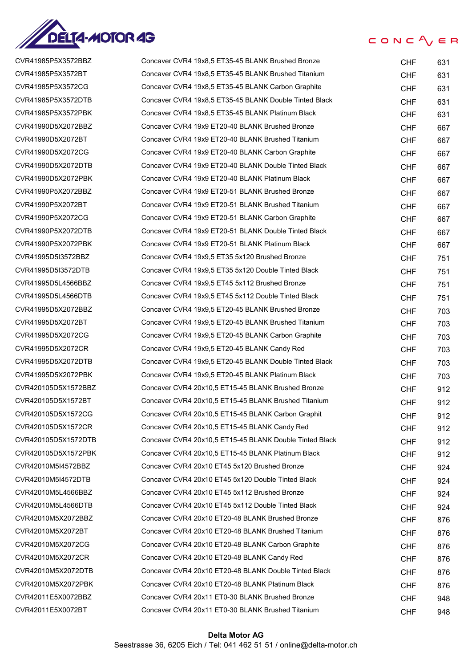

CVR41985P5X3572BBZ Concaver CVR4 19x8,5 ET35-45 BLANK Brushed Bronze CHF 631 CVR41985P5X3572BT Concaver CVR4 19x8,5 ET35-45 BLANK Brushed Titanium CHF 631 CVR41985P5X3572CG Concaver CVR4 19x8,5 ET35-45 BLANK Carbon Graphite CHE CHF 631 CVR41985P5X3572DTB Concaver CVR4 19x8,5 ET35-45 BLANK Double Tinted Black CHF 631 CVR41985P5X3572PBK Concaver CVR4 19x8,5 ET35-45 BLANK Platinum Black CHF 631 CVR41990D5X2072BBZ Concaver CVR4 19x9 ET20-40 BLANK Brushed Bronze CHF 667 CVR41990D5X2072BT Concaver CVR4 19x9 ET20-40 BLANK Brushed Titanium CHF 667 CVR41990D5X2072CG Concaver CVR4 19x9 ET20-40 BLANK Carbon Graphite CHT CHF 667 CVR41990D5X2072DTB Concaver CVR4 19x9 ET20-40 BLANK Double Tinted Black CHF 667 CVR41990D5X2072PBK Concaver CVR4 19x9 ET20-40 BLANK Platinum Black CHF 667 CVR41990P5X2072BBZ Concaver CVR4 19x9 ET20-51 BLANK Brushed Bronze CHF 667 CVR41990P5X2072BT Concaver CVR4 19x9 ET20-51 BLANK Brushed Titanium CHF 667 CVR41990P5X2072CG Concaver CVR4 19x9 ET20-51 BLANK Carbon Graphite CHF 667 CVR41990P5X2072DTB Concaver CVR4 19x9 ET20-51 BLANK Double Tinted Black CHF 667 CVR41990P5X2072PBK Concaver CVR4 19x9 ET20-51 BLANK Platinum Black CHF 667 CVR41995D5I3572BBZ Concaver CVR4 19x9,5 ET35 5x120 Brushed Bronze CHF 751 CVR41995D5I3572DTB Concaver CVR4 19x9,5 ET35 5x120 Double Tinted Black CHF 751 CVR41995D5L4566BBZ Concaver CVR4 19x9,5 ET45 5x112 Brushed Bronze CHF 751 CVR41995D5L4566DTB Concaver CVR4 19x9,5 ET45 5x112 Double Tinted Black CHF 751 CVR41995D5X2072BBZ Concaver CVR4 19x9,5 ET20-45 BLANK Brushed Bronze CHF 703 CVR41995D5X2072BT Concaver CVR4 19x9,5 ET20-45 BLANK Brushed Titanium CHF 703 CVR41995D5X2072CG Concaver CVR4 19x9,5 ET20-45 BLANK Carbon Graphite CHE CHF 703 CVR41995D5X2072CR Concaver CVR4 19x9,5 ET20-45 BLANK Candy Red CHF 703 CVR41995D5X2072DTB Concaver CVR4 19x9,5 ET20-45 BLANK Double Tinted Black CHF 703 CVR41995D5X2072PBK Concaver CVR4 19x9,5 ET20-45 BLANK Platinum Black CHF 703 CVR420105D5X1572BBZ Concaver CVR4 20x10,5 ET15-45 BLANK Brushed Bronze CHF 912 CVR420105D5X1572BT Concaver CVR4 20x10,5 ET15-45 BLANK Brushed Titanium CHF 912 CVR420105D5X1572CG Concaver CVR4 20x10,5 ET15-45 BLANK Carbon Graphit CHF 912 CVR420105D5X1572CR Concaver CVR4 20x10,5 ET15-45 BLANK Candy Red CHF 912 CVR420105D5X1572DTB Concaver CVR4 20x10,5 ET15-45 BLANK Double Tinted Black CHF 912 CVR420105D5X1572PBK Concaver CVR4 20x10,5 ET15-45 BLANK Platinum Black CHF 912 CVR42010M5I4572BBZ Concaver CVR4 20x10 ET45 5x120 Brushed Bronze CHT CHF 924 CVR42010M5I4572DTB Concaver CVR4 20x10 ET45 5x120 Double Tinted Black CHF 924 CVR42010M5L4566BBZ Concaver CVR4 20x10 ET45 5x112 Brushed Bronze CHT CHF 924 CVR42010M5L4566DTB Concaver CVR4 20x10 ET45 5x112 Double Tinted Black CHF 924 CVR42010M5X2072BBZ Concaver CVR4 20x10 ET20-48 BLANK Brushed Bronze CHF 876 CVR42010M5X2072BT Concaver CVR4 20x10 ET20-48 BLANK Brushed Titanium CHF 876 CVR42010M5X2072CG Concaver CVR4 20x10 ET20-48 BLANK Carbon Graphite CHF 876 CVR42010M5X2072CR Concaver CVR4 20x10 ET20-48 BLANK Candy Red CHF 876 CVR42010M5X2072DTB Concaver CVR4 20x10 ET20-48 BLANK Double Tinted Black CHF 876 CVR42010M5X2072PBK Concaver CVR4 20x10 ET20-48 BLANK Platinum Black CHF 876 CVR42011E5X0072BBZ Concaver CVR4 20x11 ET0-30 BLANK Brushed Bronze CHF 948 CVR42011E5X0072BT Concaver CVR4 20x11 ET0-30 BLANK Brushed Titanium CHF 948

 $CONC$   $\bigwedge_{i}$   $\in$  R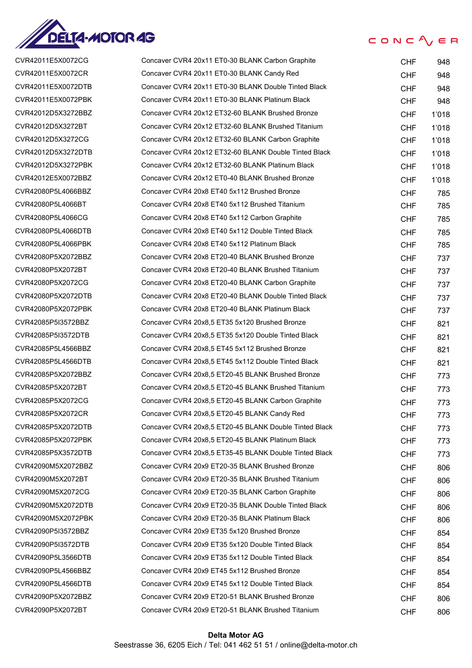

#### $CONC$ <sub>/ $E$ </sub> $R$

CVR42011E5X0072CG CVR42011E5X0072CR CVR42011E5X0072DTB CVR42011E5X0072PBK CVR42012D5X3272BBZ CVR42012D5X3272BT CVR42012D5X3272CG CVR42012D5X3272DTB CVR42012D5X3272PBK CVR42012E5X0072BBZ CVR42080P5L4066BBZ CVR42080P5L4066BT CVR42080P5L4066CG CVR42080P5L4066DTB CVR42080P5L4066PBK CVR42080P5X2072BBZ CVR42080P5X2072BT CVR42080P5X2072CG CVR42080P5X2072DTB CVR42080P5X2072PBK CVR42085P5I3572BBZ CVR42085P5I3572DTB CVR42085P5L4566BBZ CVR42085P5L4566DTB CVR42085P5X2072BBZ CVR42085P5X2072BT CVR42085P5X2072CG CVR42085P5X2072CR CVR42085P5X2072DTB CVR42085P5X2072PBK CVR42085P5X3572DTB CVR42090M5X2072BBZ CVR42090M5X2072BT CVR42090M5X2072CG CVR42090M5X2072DTB CVR42090M5X2072PBK CVR42090P5I3572BBZ CVR42090P5I3572DTB CVR42090P5L3566DTB CVR42090P5L4566BBZ CVR42090P5L4566DTB CVR42090P5X2072BBZ CVR42090P5X2072BT

| Concaver CVR4 20x11 ET0-30 BLANK Carbon Graphite       | CHF        | 948   |
|--------------------------------------------------------|------------|-------|
| Concaver CVR4 20x11 ET0-30 BLANK Candy Red             | CHF        | 948   |
| Concaver CVR4 20x11 ET0-30 BLANK Double Tinted Black   | CHF        | 948   |
| Concaver CVR4 20x11 ET0-30 BLANK Platinum Black        | CHF        | 948   |
| Concaver CVR4 20x12 ET32-60 BLANK Brushed Bronze       | <b>CHF</b> | 1'018 |
| Concaver CVR4 20x12 ET32-60 BLANK Brushed Titanium     | <b>CHF</b> | 1'018 |
| Concaver CVR4 20x12 ET32-60 BLANK Carbon Graphite      | CHF        | 1'018 |
| Concaver CVR4 20x12 ET32-60 BLANK Double Tinted Black  | <b>CHF</b> | 1'018 |
| Concaver CVR4 20x12 ET32-60 BLANK Platinum Black       | CHF        | 1'018 |
| Concaver CVR4 20x12 ET0-40 BLANK Brushed Bronze        | CHF        | 1'018 |
| Concaver CVR4 20x8 ET40 5x112 Brushed Bronze           | <b>CHF</b> | 785   |
| Concaver CVR4 20x8 ET40 5x112 Brushed Titanium         | CHF        | 785   |
| Concaver CVR4 20x8 ET40 5x112 Carbon Graphite          | <b>CHF</b> | 785   |
| Concaver CVR4 20x8 ET40 5x112 Double Tinted Black      | CHF        | 785   |
| Concaver CVR4 20x8 ET40 5x112 Platinum Black           | CHF        | 785   |
| Concaver CVR4 20x8 ET20-40 BLANK Brushed Bronze        | <b>CHF</b> | 737   |
| Concaver CVR4 20x8 ET20-40 BLANK Brushed Titanium      | CHF        | 737   |
| Concaver CVR4 20x8 ET20-40 BLANK Carbon Graphite       | CHF        | 737   |
| Concaver CVR4 20x8 ET20-40 BLANK Double Tinted Black   | <b>CHF</b> | 737   |
| Concaver CVR4 20x8 ET20-40 BLANK Platinum Black        | CHF        | 737   |
| Concaver CVR4 20x8,5 ET35 5x120 Brushed Bronze         | CHF        | 821   |
| Concaver CVR4 20x8,5 ET35 5x120 Double Tinted Black    | CHF        | 821   |
| Concaver CVR4 20x8,5 ET45 5x112 Brushed Bronze         | CHF        | 821   |
| Concaver CVR4 20x8,5 ET45 5x112 Double Tinted Black    | <b>CHF</b> | 821   |
| Concaver CVR4 20x8,5 ET20-45 BLANK Brushed Bronze      | CHF        | 773   |
| Concaver CVR4 20x8,5 ET20-45 BLANK Brushed Titanium    | CHF        | 773   |
| Concaver CVR4 20x8,5 ET20-45 BLANK Carbon Graphite     | CHF        | 773   |
| Concaver CVR4 20x8,5 ET20-45 BLANK Candy Red           | CHF        | 773   |
| Concaver CVR4 20x8,5 ET20-45 BLANK Double Tinted Black | CHF        | 773   |
| Concaver CVR4 20x8,5 ET20-45 BLANK Platinum Black      | CHF        | 773   |
| Concaver CVR4 20x8.5 ET35-45 BLANK Double Tinted Black | CHF.       | 773   |
| Concaver CVR4 20x9 ET20-35 BLANK Brushed Bronze        | CHF.       | 806   |
| Concaver CVR4 20x9 ET20-35 BLANK Brushed Titanium      | <b>CHF</b> | 806   |
| Concaver CVR4 20x9 ET20-35 BLANK Carbon Graphite       | CHF        | 806   |
| Concaver CVR4 20x9 ET20-35 BLANK Double Tinted Black   | CHF        | 806   |
| Concaver CVR4 20x9 ET20-35 BLANK Platinum Black        | CHF        | 806   |
| Concaver CVR4 20x9 ET35 5x120 Brushed Bronze           | CHF.       | 854   |
| Concaver CVR4 20x9 ET35 5x120 Double Tinted Black      | CHF.       | 854   |
| Concaver CVR4 20x9 ET35 5x112 Double Tinted Black      | CHF        | 854   |
| Concaver CVR4 20x9 ET45 5x112 Brushed Bronze           | CHF.       | 854   |
| Concaver CVR4 20x9 ET45 5x112 Double Tinted Black      | CHF        | 854   |
| Concaver CVR4 20x9 ET20-51 BLANK Brushed Bronze        | CHF        | 806   |
| Concaver CVR4 20x9 ET20-51 BLANK Brushed Titanium      | CHF        | 806   |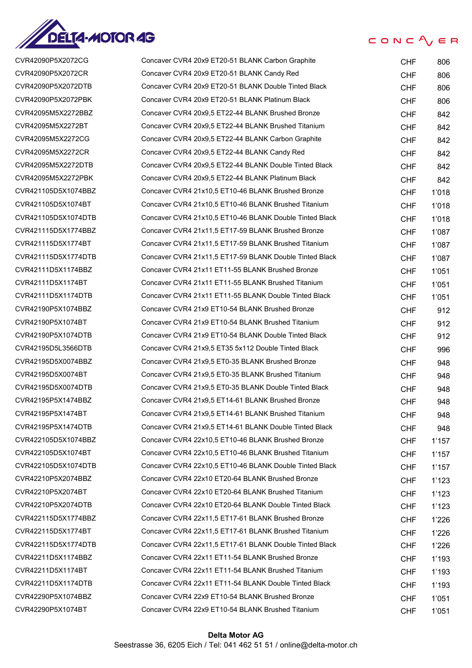

| CVR42090P5X2072CG   | Cor |
|---------------------|-----|
| CVR42090P5X2072CR   | Cor |
| CVR42090P5X2072DTB  | Cor |
| CVR42090P5X2072PBK  | Cor |
| CVR42095M5X2272BBZ  | Cor |
| CVR42095M5X2272BT   | Cor |
| CVR42095M5X2272CG   | Cor |
| CVR42095M5X2272CR   | Cor |
| CVR42095M5X2272DTB  | Cor |
| CVR42095M5X2272PBK  | Cor |
| CVR421105D5X1074BBZ | Cor |
| CVR421105D5X1074BT  | Cor |
| CVR421105D5X1074DTB | Cor |
| CVR421115D5X1774BBZ | Cor |
| CVR421115D5X1774BT  | Cor |
| CVR421115D5X1774DTB | Cor |
| CVR42111D5X1174BBZ  | Cor |
| CVR42111D5X1174BT   | Cor |
| CVR42111D5X1174DTB  | Cor |
| CVR42190P5X1074BBZ  | Cor |
| CVR42190P5X1074BT   | Cor |
| CVR42190P5X1074DTB  | Cor |
| CVR42195D5L3566DTB  | Cor |
| CVR42195D5X0074BBZ  | Cor |
| CVR42195D5X0074BT   | Cor |
| CVR42195D5X0074DTB  | Cor |
| CVR42195P5X1474BBZ  | Cor |
| CVR42195P5X1474BT   | Cor |
| CVR42195P5X1474DTB  | Cor |
| CVR422105D5X1074BBZ | Cor |
| CVR422105D5X1074BT  | Cor |
| CVR422105D5X1074DTB | Cor |
| CVR42210P5X2074BBZ  | Cor |
| CVR42210P5X2074BT   | Cor |
| CVR42210P5X2074DTB  | Cor |
| CVR422115D5X1774BBZ | Cor |
| CVR422115D5X1774BT  | Cor |
| CVR422115D5X1774DTB | Cor |
| CVR42211D5X1174BBZ  | Cor |
| CVR42211D5X1174BT   | Cor |
| CVR42211D5X1174DTB  | Cor |
| CVR42290P5X1074BBZ  | Cor |
| CVR42290P5X1074BT   | Cor |

| CVR42090P5X2072CG   | Concaver CVR4 20x9 ET20-51 BLANK Carbon Graphite        | <b>CHF</b> | 806   |
|---------------------|---------------------------------------------------------|------------|-------|
| CVR42090P5X2072CR   | Concaver CVR4 20x9 ET20-51 BLANK Candy Red              | <b>CHF</b> | 806   |
| CVR42090P5X2072DTB  | Concaver CVR4 20x9 ET20-51 BLANK Double Tinted Black    | <b>CHF</b> | 806   |
| CVR42090P5X2072PBK  | Concaver CVR4 20x9 ET20-51 BLANK Platinum Black         | <b>CHF</b> | 806   |
| CVR42095M5X2272BBZ  | Concaver CVR4 20x9,5 ET22-44 BLANK Brushed Bronze       | <b>CHF</b> | 842   |
| CVR42095M5X2272BT   | Concaver CVR4 20x9,5 ET22-44 BLANK Brushed Titanium     | <b>CHF</b> | 842   |
| CVR42095M5X2272CG   | Concaver CVR4 20x9,5 ET22-44 BLANK Carbon Graphite      | <b>CHF</b> | 842   |
| CVR42095M5X2272CR   | Concaver CVR4 20x9,5 ET22-44 BLANK Candy Red            | <b>CHF</b> | 842   |
| CVR42095M5X2272DTB  | Concaver CVR4 20x9,5 ET22-44 BLANK Double Tinted Black  | <b>CHF</b> | 842   |
| CVR42095M5X2272PBK  | Concaver CVR4 20x9,5 ET22-44 BLANK Platinum Black       | <b>CHF</b> | 842   |
| CVR421105D5X1074BBZ | Concaver CVR4 21x10,5 ET10-46 BLANK Brushed Bronze      | <b>CHF</b> | 1'018 |
| CVR421105D5X1074BT  | Concaver CVR4 21x10,5 ET10-46 BLANK Brushed Titanium    | <b>CHF</b> | 1'018 |
| CVR421105D5X1074DTB | Concaver CVR4 21x10,5 ET10-46 BLANK Double Tinted Black | <b>CHF</b> | 1'018 |
| CVR421115D5X1774BBZ | Concaver CVR4 21x11,5 ET17-59 BLANK Brushed Bronze      | <b>CHF</b> | 1'087 |
| CVR421115D5X1774BT  | Concaver CVR4 21x11,5 ET17-59 BLANK Brushed Titanium    | <b>CHF</b> | 1'087 |
| CVR421115D5X1774DTB | Concaver CVR4 21x11,5 ET17-59 BLANK Double Tinted Black | <b>CHF</b> | 1'087 |
| CVR42111D5X1174BBZ  | Concaver CVR4 21x11 ET11-55 BLANK Brushed Bronze        | <b>CHF</b> | 1'051 |
| CVR42111D5X1174BT   | Concaver CVR4 21x11 ET11-55 BLANK Brushed Titanium      | <b>CHF</b> | 1'051 |
| CVR42111D5X1174DTB  | Concaver CVR4 21x11 ET11-55 BLANK Double Tinted Black   | <b>CHF</b> | 1'051 |
| CVR42190P5X1074BBZ  | Concaver CVR4 21x9 ET10-54 BLANK Brushed Bronze         | <b>CHF</b> | 912   |
| CVR42190P5X1074BT   | Concaver CVR4 21x9 ET10-54 BLANK Brushed Titanium       | <b>CHF</b> | 912   |
| CVR42190P5X1074DTB  | Concaver CVR4 21x9 ET10-54 BLANK Double Tinted Black    | <b>CHF</b> | 912   |
| CVR42195D5L3566DTB  | Concaver CVR4 21x9,5 ET35 5x112 Double Tinted Black     | <b>CHF</b> | 996   |
| CVR42195D5X0074BBZ  | Concaver CVR4 21x9,5 ET0-35 BLANK Brushed Bronze        | <b>CHF</b> | 948   |
| CVR42195D5X0074BT   | Concaver CVR4 21x9,5 ET0-35 BLANK Brushed Titanium      | <b>CHF</b> | 948   |
| CVR42195D5X0074DTB  | Concaver CVR4 21x9,5 ET0-35 BLANK Double Tinted Black   | <b>CHF</b> | 948   |
| CVR42195P5X1474BBZ  | Concaver CVR4 21x9,5 ET14-61 BLANK Brushed Bronze       | <b>CHF</b> | 948   |
| CVR42195P5X1474BT   | Concaver CVR4 21x9,5 ET14-61 BLANK Brushed Titanium     | <b>CHF</b> | 948   |
| CVR42195P5X1474DTB  | Concaver CVR4 21x9.5 ET14-61 BLANK Double Tinted Black  | <b>CHF</b> | 948   |
| CVR422105D5X1074BBZ | Concaver CVR4 22x10.5 ET10-46 BLANK Brushed Bronze      | <b>CHF</b> | 1'157 |
| CVR422105D5X1074BT  | Concaver CVR4 22x10.5 ET10-46 BLANK Brushed Titanium    | <b>CHF</b> | 1'157 |
| CVR422105D5X1074DTB | Concaver CVR4 22x10,5 ET10-46 BLANK Double Tinted Black | <b>CHF</b> | 1'157 |
| CVR42210P5X2074BBZ  | Concaver CVR4 22x10 ET20-64 BLANK Brushed Bronze        | <b>CHF</b> | 1'123 |
| CVR42210P5X2074BT   | Concaver CVR4 22x10 ET20-64 BLANK Brushed Titanium      | <b>CHF</b> | 1'123 |
| CVR42210P5X2074DTB  | Concaver CVR4 22x10 ET20-64 BLANK Double Tinted Black   | <b>CHF</b> | 1'123 |
| CVR422115D5X1774BBZ | Concaver CVR4 22x11,5 ET17-61 BLANK Brushed Bronze      | <b>CHF</b> | 1'226 |
| CVR422115D5X1774BT  | Concaver CVR4 22x11,5 ET17-61 BLANK Brushed Titanium    | <b>CHF</b> | 1'226 |
| CVR422115D5X1774DTB | Concaver CVR4 22x11,5 ET17-61 BLANK Double Tinted Black | <b>CHF</b> | 1'226 |
| CVR42211D5X1174BBZ  | Concaver CVR4 22x11 ET11-54 BLANK Brushed Bronze        | <b>CHF</b> | 1'193 |
| CVR42211D5X1174BT   | Concaver CVR4 22x11 ET11-54 BLANK Brushed Titanium      | <b>CHF</b> | 1'193 |
| CVR42211D5X1174DTB  | Concaver CVR4 22x11 ET11-54 BLANK Double Tinted Black   | <b>CHF</b> | 1'193 |
| CVR42290P5X1074BBZ  | Concaver CVR4 22x9 ET10-54 BLANK Brushed Bronze         | <b>CHF</b> | 1'051 |
| CVR42290P5X1074BT   | Concaver CVR4 22x9 ET10-54 BLANK Brushed Titanium       | <b>CHF</b> | 1'051 |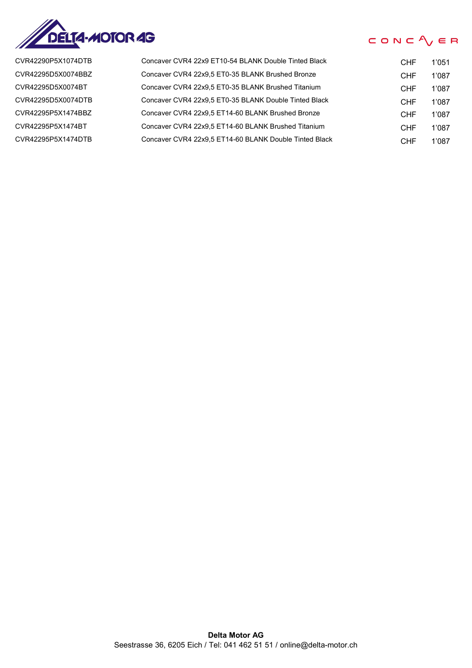

CVR42290P5X1074DTB CVR42295D5X0074BBZ CVR42295D5X0074BT CVR42295D5X0074DTB CVR42295P5X1474BBZ CVR42295P5X1474BT CVR42295P5X1474DTB

| Concaver CVR4 22x9 ET10-54 BLANK Double Tinted Black   | <b>CHF</b> | 1'051 |
|--------------------------------------------------------|------------|-------|
| Concaver CVR4 22x9.5 ET0-35 BLANK Brushed Bronze       | <b>CHF</b> | 1'087 |
| Concaver CVR4 22x9.5 ET0-35 BLANK Brushed Titanium     | CHF        | 1'087 |
| Concaver CVR4 22x9.5 ET0-35 BLANK Double Tinted Black  | CHF        | 1'087 |
| Concaver CVR4 22x9.5 ET14-60 BLANK Brushed Bronze      | <b>CHF</b> | 1'087 |
| Concaver CVR4 22x9.5 ET14-60 BLANK Brushed Titanium    | CHF        | 1'087 |
| Concaver CVR4 22x9.5 ET14-60 BLANK Double Tinted Black | CHF        | 1'087 |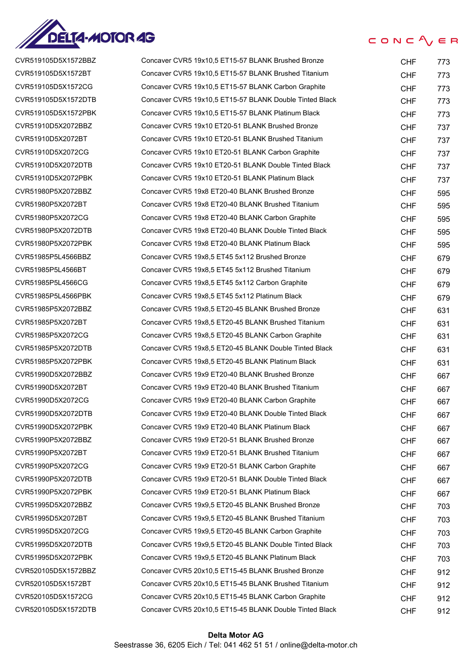

| CVR519105D5X1572BBZ | Concaver CVR5 19x10,5 ET15-57 BLANK Brushed Bronze      | <b>CHF</b> | 773 |
|---------------------|---------------------------------------------------------|------------|-----|
| CVR519105D5X1572BT  | Concaver CVR5 19x10,5 ET15-57 BLANK Brushed Titanium    | <b>CHF</b> | 773 |
| CVR519105D5X1572CG  | Concaver CVR5 19x10,5 ET15-57 BLANK Carbon Graphite     | <b>CHF</b> | 773 |
| CVR519105D5X1572DTB | Concaver CVR5 19x10,5 ET15-57 BLANK Double Tinted Black | <b>CHF</b> | 773 |
| CVR519105D5X1572PBK | Concaver CVR5 19x10,5 ET15-57 BLANK Platinum Black      | <b>CHF</b> | 773 |
| CVR51910D5X2072BBZ  | Concaver CVR5 19x10 ET20-51 BLANK Brushed Bronze        | <b>CHF</b> | 737 |
| CVR51910D5X2072BT   | Concaver CVR5 19x10 ET20-51 BLANK Brushed Titanium      | <b>CHF</b> | 737 |
| CVR51910D5X2072CG   | Concaver CVR5 19x10 ET20-51 BLANK Carbon Graphite       | <b>CHF</b> | 737 |
| CVR51910D5X2072DTB  | Concaver CVR5 19x10 ET20-51 BLANK Double Tinted Black   | <b>CHF</b> | 737 |
| CVR51910D5X2072PBK  | Concaver CVR5 19x10 ET20-51 BLANK Platinum Black        | <b>CHF</b> | 737 |
| CVR51980P5X2072BBZ  | Concaver CVR5 19x8 ET20-40 BLANK Brushed Bronze         | <b>CHF</b> | 595 |
| CVR51980P5X2072BT   | Concaver CVR5 19x8 ET20-40 BLANK Brushed Titanium       | <b>CHF</b> | 595 |
| CVR51980P5X2072CG   | Concaver CVR5 19x8 ET20-40 BLANK Carbon Graphite        | <b>CHF</b> | 595 |
| CVR51980P5X2072DTB  | Concaver CVR5 19x8 ET20-40 BLANK Double Tinted Black    | <b>CHF</b> | 595 |
| CVR51980P5X2072PBK  | Concaver CVR5 19x8 ET20-40 BLANK Platinum Black         | <b>CHF</b> | 595 |
| CVR51985P5L4566BBZ  | Concaver CVR5 19x8,5 ET45 5x112 Brushed Bronze          | <b>CHF</b> | 679 |
| CVR51985P5L4566BT   | Concaver CVR5 19x8,5 ET45 5x112 Brushed Titanium        | <b>CHF</b> | 679 |
| CVR51985P5L4566CG   | Concaver CVR5 19x8,5 ET45 5x112 Carbon Graphite         | <b>CHF</b> | 679 |
| CVR51985P5L4566PBK  | Concaver CVR5 19x8,5 ET45 5x112 Platinum Black          | <b>CHF</b> | 679 |
| CVR51985P5X2072BBZ  | Concaver CVR5 19x8,5 ET20-45 BLANK Brushed Bronze       | <b>CHF</b> | 631 |
| CVR51985P5X2072BT   | Concaver CVR5 19x8,5 ET20-45 BLANK Brushed Titanium     | <b>CHF</b> | 631 |
| CVR51985P5X2072CG   | Concaver CVR5 19x8,5 ET20-45 BLANK Carbon Graphite      | <b>CHF</b> | 631 |
| CVR51985P5X2072DTB  | Concaver CVR5 19x8,5 ET20-45 BLANK Double Tinted Black  | <b>CHF</b> | 631 |
| CVR51985P5X2072PBK  | Concaver CVR5 19x8,5 ET20-45 BLANK Platinum Black       | <b>CHF</b> | 631 |
| CVR51990D5X2072BBZ  | Concaver CVR5 19x9 ET20-40 BLANK Brushed Bronze         | <b>CHF</b> | 667 |
| CVR51990D5X2072BT   | Concaver CVR5 19x9 ET20-40 BLANK Brushed Titanium       | <b>CHF</b> | 667 |
| CVR51990D5X2072CG   | Concaver CVR5 19x9 ET20-40 BLANK Carbon Graphite        | <b>CHF</b> | 667 |
| CVR51990D5X2072DTB  | Concaver CVR5 19x9 ET20-40 BLANK Double Tinted Black    | <b>CHF</b> | 667 |
| CVR51990D5X2072PBK  | Concaver CVR5 19x9 ET20-40 BLANK Platinum Black         | <b>CHF</b> | 667 |
| CVR51990P5X2072BBZ  | Concaver CVR5 19x9 ET20-51 BLANK Brushed Bronze         | <b>CHF</b> | 667 |
| CVR51990P5X2072BT   | Concaver CVR5 19x9 ET20-51 BLANK Brushed Titanium       | <b>CHF</b> | 667 |
| CVR51990P5X2072CG   | Concaver CVR5 19x9 ET20-51 BLANK Carbon Graphite        | <b>CHF</b> | 667 |
| CVR51990P5X2072DTB  | Concaver CVR5 19x9 ET20-51 BLANK Double Tinted Black    | <b>CHF</b> | 667 |
| CVR51990P5X2072PBK  | Concaver CVR5 19x9 ET20-51 BLANK Platinum Black         | <b>CHF</b> | 667 |
| CVR51995D5X2072BBZ  | Concaver CVR5 19x9,5 ET20-45 BLANK Brushed Bronze       | <b>CHF</b> | 703 |
| CVR51995D5X2072BT   | Concaver CVR5 19x9,5 ET20-45 BLANK Brushed Titanium     | <b>CHF</b> | 703 |
| CVR51995D5X2072CG   | Concaver CVR5 19x9,5 ET20-45 BLANK Carbon Graphite      | <b>CHF</b> | 703 |
| CVR51995D5X2072DTB  | Concaver CVR5 19x9,5 ET20-45 BLANK Double Tinted Black  | <b>CHF</b> | 703 |
| CVR51995D5X2072PBK  | Concaver CVR5 19x9,5 ET20-45 BLANK Platinum Black       | <b>CHF</b> | 703 |
| CVR520105D5X1572BBZ | Concaver CVR5 20x10,5 ET15-45 BLANK Brushed Bronze      | <b>CHF</b> | 912 |
| CVR520105D5X1572BT  | Concaver CVR5 20x10,5 ET15-45 BLANK Brushed Titanium    | <b>CHF</b> | 912 |
| CVR520105D5X1572CG  | Concaver CVR5 20x10,5 ET15-45 BLANK Carbon Graphite     | <b>CHF</b> | 912 |
| CVR520105D5X1572DTB | Concaver CVR5 20x10,5 ET15-45 BLANK Double Tinted Black | <b>CHF</b> | 912 |
|                     |                                                         |            |     |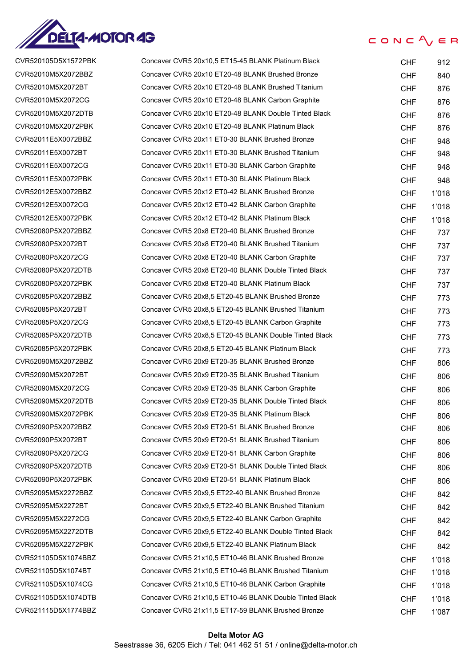

CONC $\Lambda$   $\in$  R

| CVR520105D5X1572PBK | Concaver CVR5 20x10,5 ET15-45 BLANK Platinum Black      | <b>CHF</b> | 912   |
|---------------------|---------------------------------------------------------|------------|-------|
| CVR52010M5X2072BBZ  | Concaver CVR5 20x10 ET20-48 BLANK Brushed Bronze        | <b>CHF</b> | 840   |
| CVR52010M5X2072BT   | Concaver CVR5 20x10 ET20-48 BLANK Brushed Titanium      | <b>CHF</b> | 876   |
| CVR52010M5X2072CG   | Concaver CVR5 20x10 ET20-48 BLANK Carbon Graphite       | <b>CHF</b> | 876   |
| CVR52010M5X2072DTB  | Concaver CVR5 20x10 ET20-48 BLANK Double Tinted Black   | <b>CHF</b> | 876   |
| CVR52010M5X2072PBK  | Concaver CVR5 20x10 ET20-48 BLANK Platinum Black        | <b>CHF</b> | 876   |
| CVR52011E5X0072BBZ  | Concaver CVR5 20x11 ET0-30 BLANK Brushed Bronze         | <b>CHF</b> | 948   |
| CVR52011E5X0072BT   | Concaver CVR5 20x11 ET0-30 BLANK Brushed Titanium       | <b>CHF</b> | 948   |
| CVR52011E5X0072CG   | Concaver CVR5 20x11 ET0-30 BLANK Carbon Graphite        | <b>CHF</b> | 948   |
| CVR52011E5X0072PBK  | Concaver CVR5 20x11 ET0-30 BLANK Platinum Black         | <b>CHF</b> | 948   |
| CVR52012E5X0072BBZ  | Concaver CVR5 20x12 ET0-42 BLANK Brushed Bronze         | <b>CHF</b> | 1'018 |
| CVR52012E5X0072CG   | Concaver CVR5 20x12 ET0-42 BLANK Carbon Graphite        | <b>CHF</b> | 1'018 |
| CVR52012E5X0072PBK  | Concaver CVR5 20x12 ET0-42 BLANK Platinum Black         | <b>CHF</b> | 1'018 |
| CVR52080P5X2072BBZ  | Concaver CVR5 20x8 ET20-40 BLANK Brushed Bronze         | <b>CHF</b> | 737   |
| CVR52080P5X2072BT   | Concaver CVR5 20x8 ET20-40 BLANK Brushed Titanium       | <b>CHF</b> | 737   |
| CVR52080P5X2072CG   | Concaver CVR5 20x8 ET20-40 BLANK Carbon Graphite        | <b>CHF</b> | 737   |
| CVR52080P5X2072DTB  | Concaver CVR5 20x8 ET20-40 BLANK Double Tinted Black    | <b>CHF</b> | 737   |
| CVR52080P5X2072PBK  | Concaver CVR5 20x8 ET20-40 BLANK Platinum Black         | <b>CHF</b> | 737   |
| CVR52085P5X2072BBZ  | Concaver CVR5 20x8,5 ET20-45 BLANK Brushed Bronze       | <b>CHF</b> | 773   |
| CVR52085P5X2072BT   | Concaver CVR5 20x8,5 ET20-45 BLANK Brushed Titanium     | <b>CHF</b> | 773   |
| CVR52085P5X2072CG   | Concaver CVR5 20x8,5 ET20-45 BLANK Carbon Graphite      | <b>CHF</b> | 773   |
| CVR52085P5X2072DTB  | Concaver CVR5 20x8,5 ET20-45 BLANK Double Tinted Black  | <b>CHF</b> | 773   |
| CVR52085P5X2072PBK  | Concaver CVR5 20x8,5 ET20-45 BLANK Platinum Black       | <b>CHF</b> | 773   |
| CVR52090M5X2072BBZ  | Concaver CVR5 20x9 ET20-35 BLANK Brushed Bronze         | <b>CHF</b> | 806   |
| CVR52090M5X2072BT   | Concaver CVR5 20x9 ET20-35 BLANK Brushed Titanium       | <b>CHF</b> | 806   |
| CVR52090M5X2072CG   | Concaver CVR5 20x9 ET20-35 BLANK Carbon Graphite        | <b>CHF</b> | 806   |
| CVR52090M5X2072DTB  | Concaver CVR5 20x9 ET20-35 BLANK Double Tinted Black    | <b>CHF</b> | 806   |
| CVR52090M5X2072PBK  | Concaver CVR5 20x9 ET20-35 BLANK Platinum Black         | <b>CHF</b> | 806   |
| CVR52090P5X2072BBZ  | Concaver CVR5 20x9 ET20-51 BLANK Brushed Bronze         | <b>CHF</b> | 806   |
| CVR52090P5X2072BT   | Concaver CVR5 20x9 ET20-51 BLANK Brushed Titanium       | <b>CHF</b> | 806   |
| CVR52090P5X2072CG   | Concaver CVR5 20x9 ET20-51 BLANK Carbon Graphite        | <b>CHF</b> | 806   |
| CVR52090P5X2072DTB  | Concaver CVR5 20x9 ET20-51 BLANK Double Tinted Black    | <b>CHF</b> | 806   |
| CVR52090P5X2072PBK  | Concaver CVR5 20x9 ET20-51 BLANK Platinum Black         | <b>CHF</b> | 806   |
| CVR52095M5X2272BBZ  | Concaver CVR5 20x9,5 ET22-40 BLANK Brushed Bronze       | <b>CHF</b> | 842   |
| CVR52095M5X2272BT   | Concaver CVR5 20x9,5 ET22-40 BLANK Brushed Titanium     | <b>CHF</b> | 842   |
| CVR52095M5X2272CG   | Concaver CVR5 20x9,5 ET22-40 BLANK Carbon Graphite      | <b>CHF</b> | 842   |
| CVR52095M5X2272DTB  | Concaver CVR5 20x9,5 ET22-40 BLANK Double Tinted Black  | <b>CHF</b> | 842   |
| CVR52095M5X2272PBK  | Concaver CVR5 20x9,5 ET22-40 BLANK Platinum Black       | <b>CHF</b> | 842   |
| CVR521105D5X1074BBZ | Concaver CVR5 21x10.5 ET10-46 BLANK Brushed Bronze      | <b>CHF</b> | 1'018 |
| CVR521105D5X1074BT  | Concaver CVR5 21x10,5 ET10-46 BLANK Brushed Titanium    | <b>CHF</b> | 1'018 |
| CVR521105D5X1074CG  | Concaver CVR5 21x10,5 ET10-46 BLANK Carbon Graphite     | <b>CHF</b> | 1'018 |
| CVR521105D5X1074DTB | Concaver CVR5 21x10,5 ET10-46 BLANK Double Tinted Black | <b>CHF</b> | 1'018 |
| CVR521115D5X1774BBZ | Concaver CVR5 21x11,5 ET17-59 BLANK Brushed Bronze      | <b>CHF</b> | 1'087 |
|                     |                                                         |            |       |